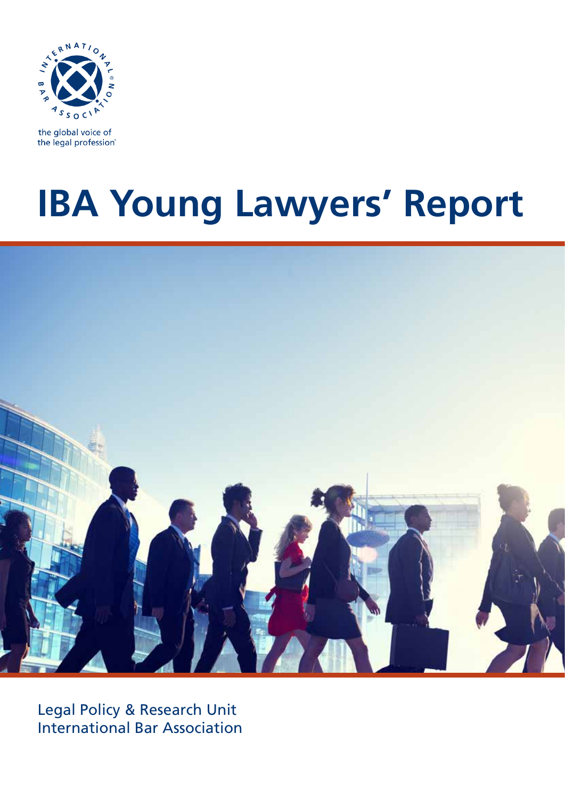

the global voice of the legal profession®

# **IBA Young Lawyers' Report**



Legal Policy & Research Unit International Bar Association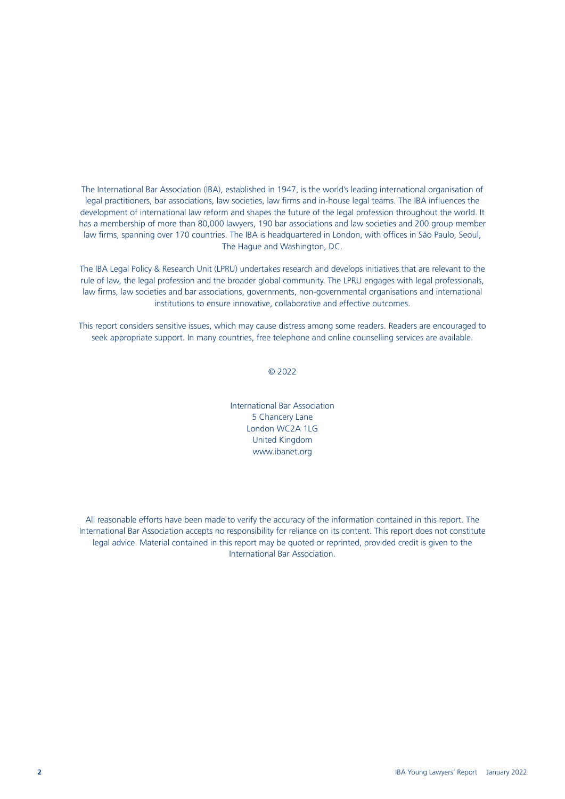The International Bar Association (IBA), established in 1947, is the world's leading international organisation of legal practitioners, bar associations, law societies, law firms and in-house legal teams. The IBA influences the development of international law reform and shapes the future of the legal profession throughout the world. It has a membership of more than 80,000 lawyers, 190 bar associations and law societies and 200 group member law firms, spanning over 170 countries. The IBA is headquartered in London, with offices in São Paulo, Seoul, The Hague and Washington, DC.

The IBA Legal Policy & Research Unit (LPRU) undertakes research and develops initiatives that are relevant to the rule of law, the legal profession and the broader global community. The LPRU engages with legal professionals, law firms, law societies and bar associations, governments, non-governmental organisations and international institutions to ensure innovative, collaborative and effective outcomes.

This report considers sensitive issues, which may cause distress among some readers. Readers are encouraged to seek appropriate support. In many countries, free telephone and online counselling services are available.

© 2022

International Bar Association 5 Chancery Lane London WC2A 1LG United Kingdom [www.ibanet.org](http://www.ibanet.org)

All reasonable efforts have been made to verify the accuracy of the information contained in this report. The International Bar Association accepts no responsibility for reliance on its content. This report does not constitute legal advice. Material contained in this report may be quoted or reprinted, provided credit is given to the International Bar Association.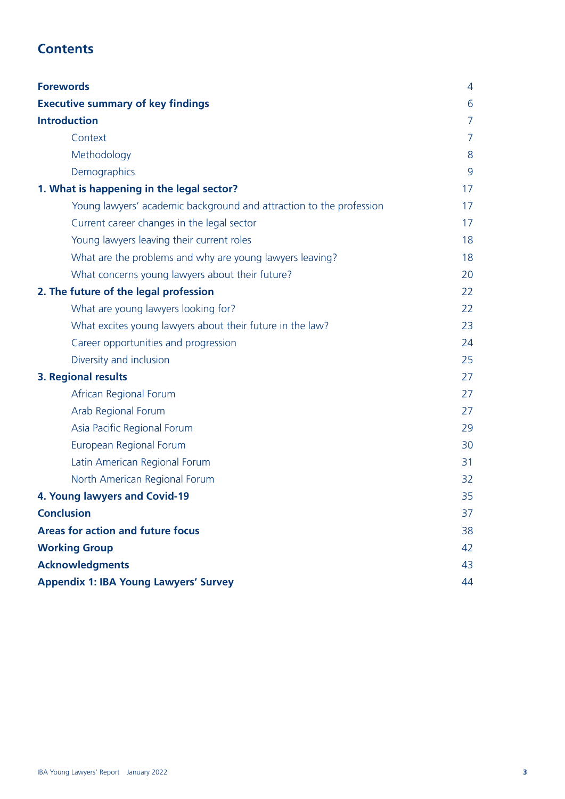### **Contents**

| <b>Forewords</b>                                                    | 4  |
|---------------------------------------------------------------------|----|
| <b>Executive summary of key findings</b>                            | 6  |
| <b>Introduction</b>                                                 | 7  |
| Context                                                             | 7  |
| Methodology                                                         | 8  |
| Demographics                                                        | 9  |
| 1. What is happening in the legal sector?                           | 17 |
| Young lawyers' academic background and attraction to the profession | 17 |
| Current career changes in the legal sector                          | 17 |
| Young lawyers leaving their current roles                           | 18 |
| What are the problems and why are young lawyers leaving?            | 18 |
| What concerns young lawyers about their future?                     | 20 |
| 2. The future of the legal profession                               | 22 |
| What are young lawyers looking for?                                 | 22 |
| What excites young lawyers about their future in the law?           | 23 |
| Career opportunities and progression                                | 24 |
| Diversity and inclusion                                             | 25 |
| 3. Regional results                                                 | 27 |
| African Regional Forum                                              | 27 |
| Arab Regional Forum                                                 | 27 |
| Asia Pacific Regional Forum                                         | 29 |
| European Regional Forum                                             | 30 |
| Latin American Regional Forum                                       | 31 |
| North American Regional Forum                                       | 32 |
| 4. Young lawyers and Covid-19                                       | 35 |
| <b>Conclusion</b>                                                   | 37 |
| <b>Areas for action and future focus</b>                            | 38 |
| <b>Working Group</b>                                                | 42 |
| <b>Acknowledgments</b>                                              | 43 |
| <b>Appendix 1: IBA Young Lawyers' Survey</b>                        | 44 |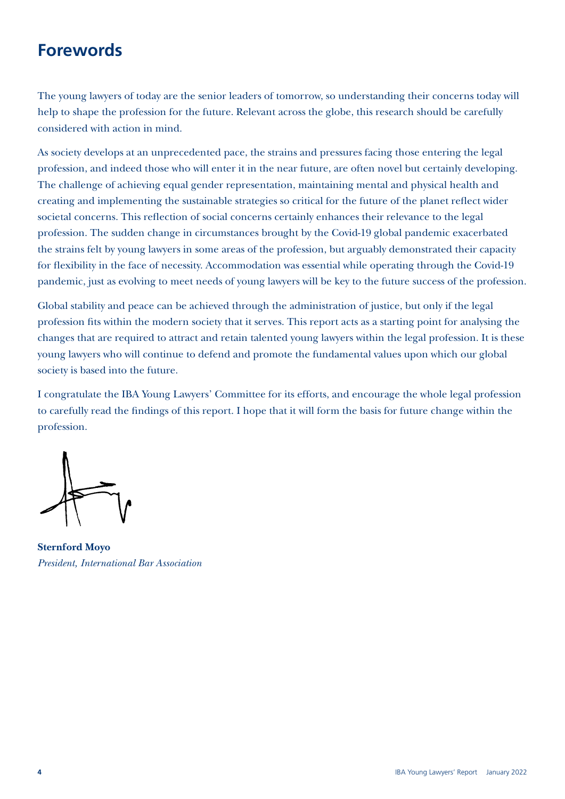## **Forewords**

The young lawyers of today are the senior leaders of tomorrow, so understanding their concerns today will help to shape the profession for the future. Relevant across the globe, this research should be carefully considered with action in mind.

As society develops at an unprecedented pace, the strains and pressures facing those entering the legal profession, and indeed those who will enter it in the near future, are often novel but certainly developing. The challenge of achieving equal gender representation, maintaining mental and physical health and creating and implementing the sustainable strategies so critical for the future of the planet reflect wider societal concerns. This reflection of social concerns certainly enhances their relevance to the legal profession. The sudden change in circumstances brought by the Covid-19 global pandemic exacerbated the strains felt by young lawyers in some areas of the profession, but arguably demonstrated their capacity for flexibility in the face of necessity. Accommodation was essential while operating through the Covid-19 pandemic, just as evolving to meet needs of young lawyers will be key to the future success of the profession.

Global stability and peace can be achieved through the administration of justice, but only if the legal profession fits within the modern society that it serves. This report acts as a starting point for analysing the changes that are required to attract and retain talented young lawyers within the legal profession. It is these young lawyers who will continue to defend and promote the fundamental values upon which our global society is based into the future.

I congratulate the IBA Young Lawyers' Committee for its efforts, and encourage the whole legal profession to carefully read the findings of this report. I hope that it will form the basis for future change within the profession.

**Sternford Moyo** *President, International Bar Association*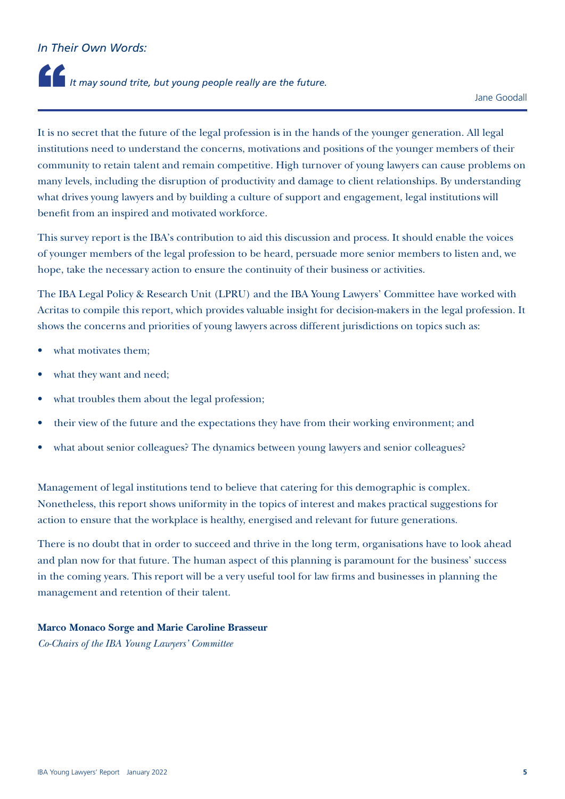### *In Their Own Words:*

# It may sound trite, but young people really are the future.

It is no secret that the future of the legal profession is in the hands of the younger generation. All legal institutions need to understand the concerns, motivations and positions of the younger members of their community to retain talent and remain competitive. High turnover of young lawyers can cause problems on many levels, including the disruption of productivity and damage to client relationships. By understanding what drives young lawyers and by building a culture of support and engagement, legal institutions will benefit from an inspired and motivated workforce.

This survey report is the IBA's contribution to aid this discussion and process. It should enable the voices of younger members of the legal profession to be heard, persuade more senior members to listen and, we hope, take the necessary action to ensure the continuity of their business or activities.

The IBA Legal Policy & Research Unit (LPRU) and the IBA Young Lawyers' Committee have worked with Acritas to compile this report, which provides valuable insight for decision-makers in the legal profession. It shows the concerns and priorities of young lawyers across different jurisdictions on topics such as:

- what motivates them:
- what they want and need;
- what troubles them about the legal profession;
- their view of the future and the expectations they have from their working environment; and
- what about senior colleagues? The dynamics between young lawyers and senior colleagues?

Management of legal institutions tend to believe that catering for this demographic is complex. Nonetheless, this report shows uniformity in the topics of interest and makes practical suggestions for action to ensure that the workplace is healthy, energised and relevant for future generations.

There is no doubt that in order to succeed and thrive in the long term, organisations have to look ahead and plan now for that future. The human aspect of this planning is paramount for the business' success in the coming years. This report will be a very useful tool for law firms and businesses in planning the management and retention of their talent.

### **Marco Monaco Sorge and Marie Caroline Brasseur**

*Co-Chairs of the IBA Young Lawyers' Committee*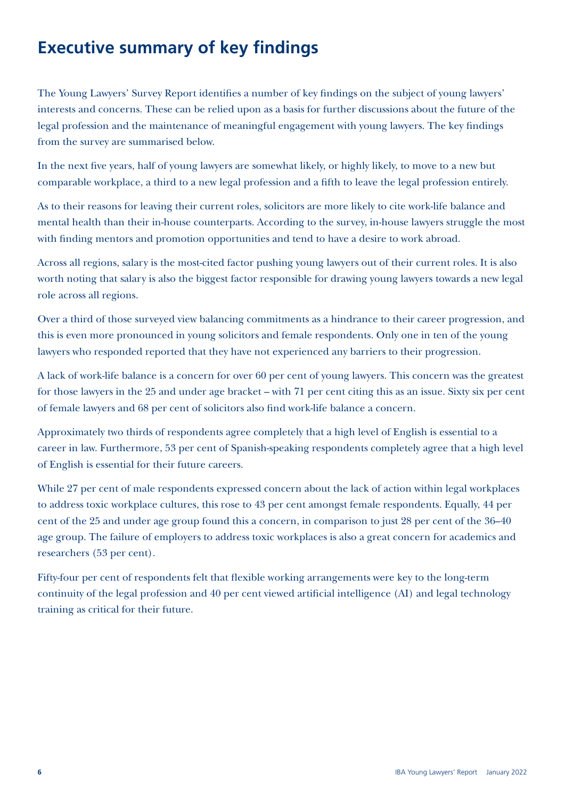# **Executive summary of key findings**

The Young Lawyers' Survey Report identifies a number of key findings on the subject of young lawyers' interests and concerns. These can be relied upon as a basis for further discussions about the future of the legal profession and the maintenance of meaningful engagement with young lawyers. The key findings from the survey are summarised below.

In the next five years, half of young lawyers are somewhat likely, or highly likely, to move to a new but comparable workplace, a third to a new legal profession and a fifth to leave the legal profession entirely.

As to their reasons for leaving their current roles, solicitors are more likely to cite work-life balance and mental health than their in-house counterparts. According to the survey, in-house lawyers struggle the most with finding mentors and promotion opportunities and tend to have a desire to work abroad.

Across all regions, salary is the most-cited factor pushing young lawyers out of their current roles. It is also worth noting that salary is also the biggest factor responsible for drawing young lawyers towards a new legal role across all regions.

Over a third of those surveyed view balancing commitments as a hindrance to their career progression, and this is even more pronounced in young solicitors and female respondents. Only one in ten of the young lawyers who responded reported that they have not experienced any barriers to their progression.

A lack of work-life balance is a concern for over 60 per cent of young lawyers. This concern was the greatest for those lawyers in the 25 and under age bracket – with 71 per cent citing this as an issue. Sixty six per cent of female lawyers and 68 per cent of solicitors also find work-life balance a concern.

Approximately two thirds of respondents agree completely that a high level of English is essential to a career in law. Furthermore, 53 per cent of Spanish-speaking respondents completely agree that a high level of English is essential for their future careers.

While 27 per cent of male respondents expressed concern about the lack of action within legal workplaces to address toxic workplace cultures, this rose to 43 per cent amongst female respondents. Equally, 44 per cent of the 25 and under age group found this a concern, in comparison to just 28 per cent of the 36–40 age group. The failure of employers to address toxic workplaces is also a great concern for academics and researchers (53 per cent).

Fifty-four per cent of respondents felt that flexible working arrangements were key to the long-term continuity of the legal profession and 40 per cent viewed artificial intelligence (AI) and legal technology training as critical for their future.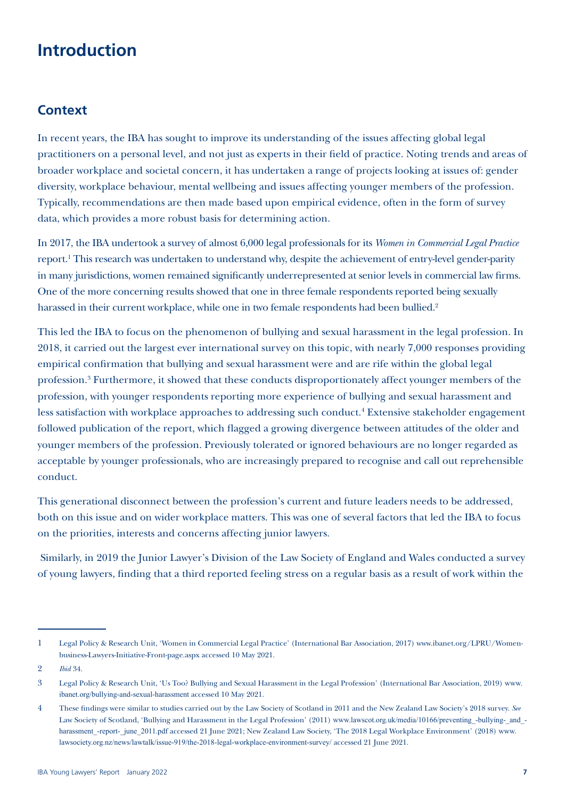## **Introduction**

### **Context**

In recent years, the IBA has sought to improve its understanding of the issues affecting global legal practitioners on a personal level, and not just as experts in their field of practice. Noting trends and areas of broader workplace and societal concern, it has undertaken a range of projects looking at issues of: gender diversity, workplace behaviour, mental wellbeing and issues affecting younger members of the profession. Typically, recommendations are then made based upon empirical evidence, often in the form of survey data, which provides a more robust basis for determining action.

In 2017, the IBA undertook a survey of almost 6,000 legal professionals for its *Women in Commercial Legal Practice* report.<sup>1</sup> This research was undertaken to understand why, despite the achievement of entry-level gender-parity in many jurisdictions, women remained significantly underrepresented at senior levels in commercial law firms. One of the more concerning results showed that one in three female respondents reported being sexually harassed in their current workplace, while one in two female respondents had been bullied.<sup>2</sup>

This led the IBA to focus on the phenomenon of bullying and sexual harassment in the legal profession. In 2018, it carried out the largest ever international survey on this topic, with nearly 7,000 responses providing empirical confirmation that bullying and sexual harassment were and are rife within the global legal profession.<sup>3</sup> Furthermore, it showed that these conducts disproportionately affect younger members of the profession, with younger respondents reporting more experience of bullying and sexual harassment and less satisfaction with workplace approaches to addressing such conduct.<sup>4</sup> Extensive stakeholder engagement followed publication of the report, which flagged a growing divergence between attitudes of the older and younger members of the profession. Previously tolerated or ignored behaviours are no longer regarded as acceptable by younger professionals, who are increasingly prepared to recognise and call out reprehensible conduct.

This generational disconnect between the profession's current and future leaders needs to be addressed, both on this issue and on wider workplace matters. This was one of several factors that led the IBA to focus on the priorities, interests and concerns affecting junior lawyers.

 Similarly, in 2019 the Junior Lawyer's Division of the Law Society of England and Wales conducted a survey of young lawyers, finding that a third reported feeling stress on a regular basis as a result of work within the

<sup>1</sup> Legal Policy & Research Unit, 'Women in Commercial Legal Practice' (International Bar Association, 2017) [www.ibanet.org/LPRU/Women](http://www.ibanet.org/LPRU/Women-business-Lawyers-Initiative-Front-page.aspx)[business-Lawyers-Initiative-Front-page.aspx](http://www.ibanet.org/LPRU/Women-business-Lawyers-Initiative-Front-page.aspx) accessed 10 May 2021.

<sup>2</sup> *Ibid* 34.

<sup>3</sup> Legal Policy & Research Unit, 'Us Too? Bullying and Sexual Harassment in the Legal Profession' (International Bar Association, 2019) [www.](http://www.ibanet.org/bullying-and-sexual-harassment) [ibanet.org/bullying-and-sexual-harassment](http://www.ibanet.org/bullying-and-sexual-harassment) accessed 10 May 2021.

<sup>4</sup> These findings were similar to studies carried out by the Law Society of Scotland in 2011 and the New Zealand Law Society's 2018 survey. *See* Law Society of Scotland, 'Bullying and Harassment in the Legal Profession' (2011) www.lawscot.org.uk/media/10166/preventing -bullying- and [harassment\\_-report-\\_june\\_2011.pdf](http://www.lawscot.org.uk/media/10166/preventing_-bullying-_and_-harassment_-report-_june_2011.pdf) accessed 21 June 2021; New Zealand Law Society, 'The 2018 Legal Workplace Environment' (2018) [www.](file:///C:\Users\sara.carnegie\AppData\Local\Microsoft\Windows\INetCache\Content.Outlook\MRG7MV0U\www.lawsociety.org.nz\news\lawtalk\issue-919\the-2018-legal-workplace-environment-survey\) [lawsociety.org.nz/news/lawtalk/issue-919/the-2018-legal-workplace-environment-survey/](file:///C:\Users\sara.carnegie\AppData\Local\Microsoft\Windows\INetCache\Content.Outlook\MRG7MV0U\www.lawsociety.org.nz\news\lawtalk\issue-919\the-2018-legal-workplace-environment-survey\) accessed 21 June 2021.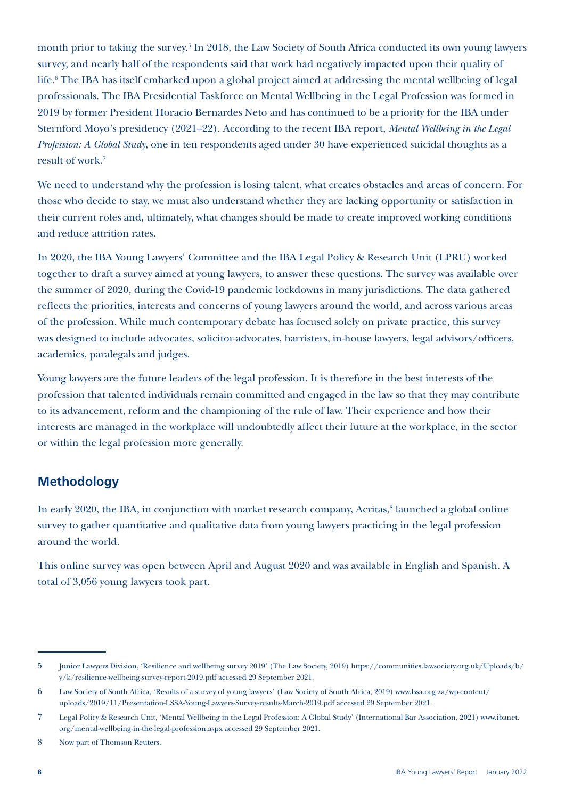month prior to taking the survey.<sup>5</sup> In 2018, the Law Society of South Africa conducted its own young lawyers survey, and nearly half of the respondents said that work had negatively impacted upon their quality of life.6 The IBA has itself embarked upon a global project aimed at addressing the mental wellbeing of legal professionals. The IBA Presidential Taskforce on Mental Wellbeing in the Legal Profession was formed in 2019 by former President Horacio Bernardes Neto and has continued to be a priority for the IBA under Sternford Moyo's presidency (2021–22). According to the recent IBA report, *Mental Wellbeing in the Legal Profession: A Global Study*, one in ten respondents aged under 30 have experienced suicidal thoughts as a result of work.7

We need to understand why the profession is losing talent, what creates obstacles and areas of concern. For those who decide to stay, we must also understand whether they are lacking opportunity or satisfaction in their current roles and, ultimately, what changes should be made to create improved working conditions and reduce attrition rates.

In 2020, the IBA Young Lawyers' Committee and the IBA Legal Policy & Research Unit (LPRU) worked together to draft a survey aimed at young lawyers, to answer these questions. The survey was available over the summer of 2020, during the Covid-19 pandemic lockdowns in many jurisdictions. The data gathered reflects the priorities, interests and concerns of young lawyers around the world, and across various areas of the profession. While much contemporary debate has focused solely on private practice, this survey was designed to include advocates, solicitor-advocates, barristers, in-house lawyers, legal advisors/officers, academics, paralegals and judges.

Young lawyers are the future leaders of the legal profession. It is therefore in the best interests of the profession that talented individuals remain committed and engaged in the law so that they may contribute to its advancement, reform and the championing of the rule of law. Their experience and how their interests are managed in the workplace will undoubtedly affect their future at the workplace, in the sector or within the legal profession more generally.

### **Methodology**

In early 2020, the IBA, in conjunction with market research company, Acritas,<sup>8</sup> launched a global online survey to gather quantitative and qualitative data from young lawyers practicing in the legal profession around the world.

This online survey was open between April and August 2020 and was available in English and Spanish. A total of 3,056 young lawyers took part.

<sup>5</sup> Junior Lawyers Division, 'Resilience and wellbeing survey 2019' (The Law Society, 2019) [https://communities.lawsociety.org.uk/Uploads/b/](https://communities.lawsociety.org.uk/Uploads/b/y/k/resilience-wellbeing-survey-report-2019.pdf) [y/k/resilience-wellbeing-survey-report-2019.pdf](https://communities.lawsociety.org.uk/Uploads/b/y/k/resilience-wellbeing-survey-report-2019.pdf) accessed 29 September 2021.

<sup>6</sup> Law Society of South Africa, 'Results of a survey of young lawyers' (Law Society of South Africa, 2019) [www.lssa.org.za/wp-content/](http://www.lssa.org.za/wp-content/uploads/2019/11/Presentation-LSSA-Young-Lawyers-Survey-results-March-2019.pdf) [uploads/2019/11/Presentation-LSSA-Young-Lawyers-Survey-results-March-2019.pdf](http://www.lssa.org.za/wp-content/uploads/2019/11/Presentation-LSSA-Young-Lawyers-Survey-results-March-2019.pdf) accessed 29 September 2021.

<sup>7</sup> Legal Policy & Research Unit, 'Mental Wellbeing in the Legal Profession: A Global Study' (International Bar Association, 2021) [www.ibanet.](http://www.ibanet.org/Mental-wellbeing-in-the-legal-profession.aspx) [org/mental-wellbeing-in-the-legal-profession.aspx](http://www.ibanet.org/Mental-wellbeing-in-the-legal-profession.aspx) accessed 29 September 2021.

<sup>8</sup> Now part of Thomson Reuters.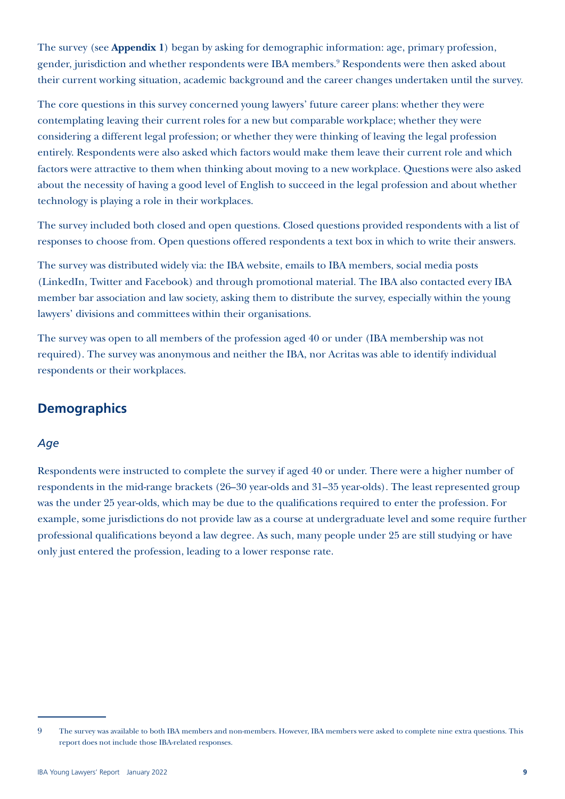The survey (see **Appendix 1**) began by asking for demographic information: age, primary profession, gender, jurisdiction and whether respondents were IBA members.<sup>9</sup> Respondents were then asked about their current working situation, academic background and the career changes undertaken until the survey.

The core questions in this survey concerned young lawyers' future career plans: whether they were contemplating leaving their current roles for a new but comparable workplace; whether they were considering a different legal profession; or whether they were thinking of leaving the legal profession entirely. Respondents were also asked which factors would make them leave their current role and which factors were attractive to them when thinking about moving to a new workplace. Questions were also asked about the necessity of having a good level of English to succeed in the legal profession and about whether technology is playing a role in their workplaces.

The survey included both closed and open questions. Closed questions provided respondents with a list of responses to choose from. Open questions offered respondents a text box in which to write their answers.

The survey was distributed widely via: the IBA website, emails to IBA members, social media posts (LinkedIn, Twitter and Facebook) and through promotional material. The IBA also contacted every IBA member bar association and law society, asking them to distribute the survey, especially within the young lawyers' divisions and committees within their organisations.

The survey was open to all members of the profession aged 40 or under (IBA membership was not required). The survey was anonymous and neither the IBA, nor Acritas was able to identify individual respondents or their workplaces.

### **Demographics**

### *Age*

Respondents were instructed to complete the survey if aged 40 or under. There were a higher number of respondents in the mid-range brackets (26–30 year-olds and 31–35 year-olds). The least represented group was the under 25 year-olds, which may be due to the qualifications required to enter the profession. For example, some jurisdictions do not provide law as a course at undergraduate level and some require further professional qualifications beyond a law degree. As such, many people under 25 are still studying or have only just entered the profession, leading to a lower response rate.

<sup>9</sup> The survey was available to both IBA members and non-members. However, IBA members were asked to complete nine extra questions. This report does not include those IBA-related responses.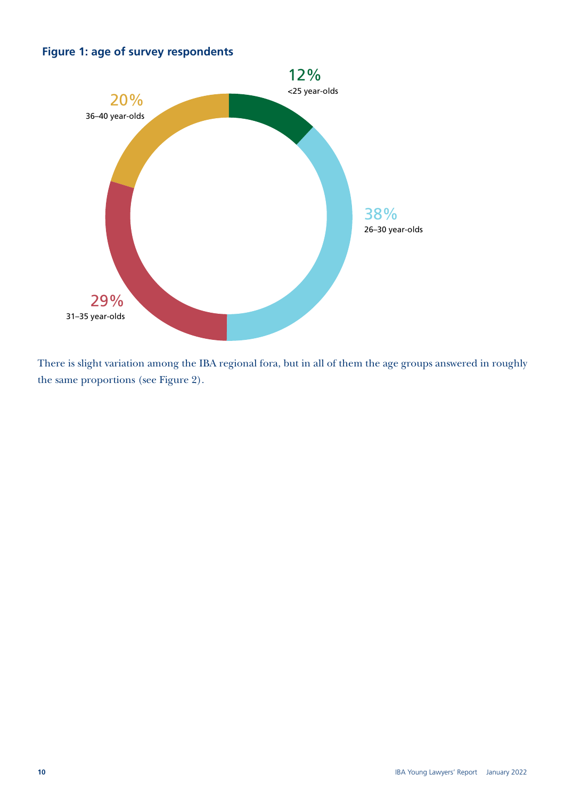### Figure 1: age of survey respondents **Figure 1: age of survey respondents**



There is slight variation among the IBA regional fora, but in all of them the age groups answered in roughly the same proportions (see Figure 2).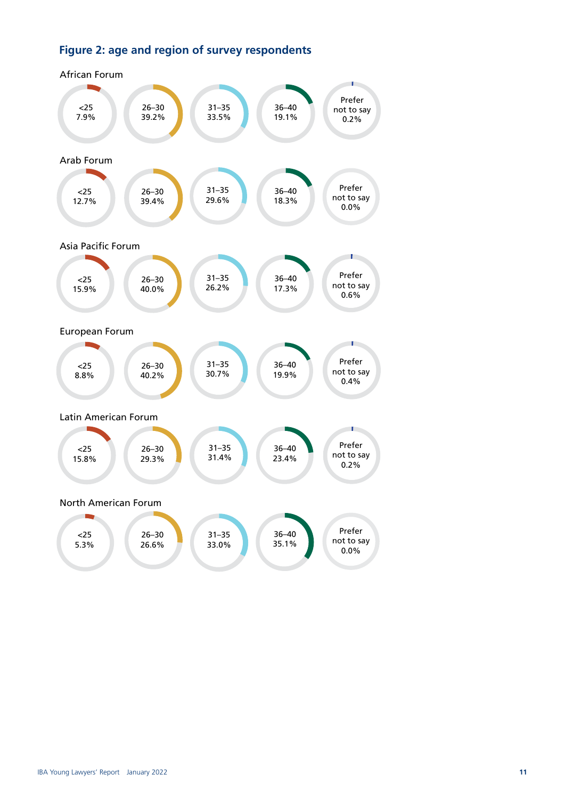### Figure 2: age and region of survey respondents: **Figure 2: age and region of survey respondents**

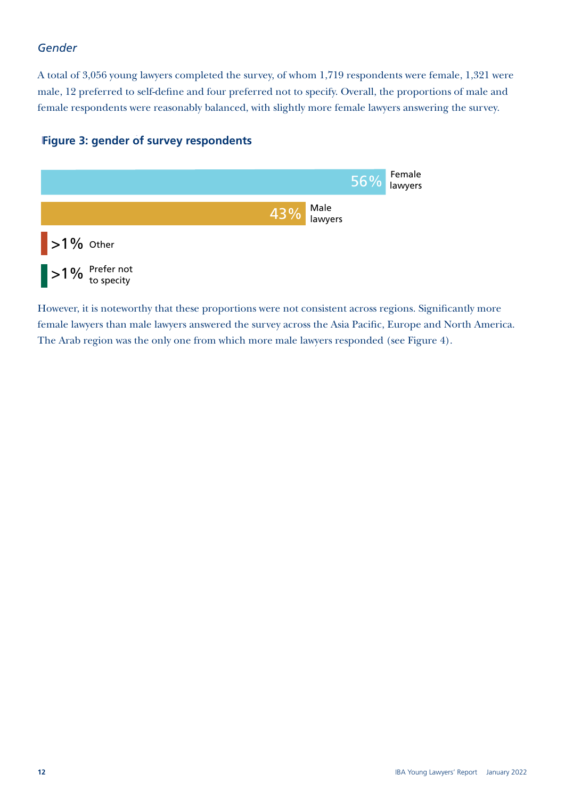### *Gender*

A total of 3,056 young lawyers completed the survey, of whom 1,719 respondents were female, 1,321 were male, 12 preferred to self-define and four preferred not to specify. Overall, the proportions of male and female respondents were reasonably balanced, with slightly more female lawyers answering the survey.

### Figure 3: gender of survey respondents **Figure 3: gender of survey respondents**



However, it is noteworthy that these proportions were not consistent across regions. Significantly more female lawyers than male lawyers answered the survey across the Asia Pacific, Europe and North America. The Arab region was the only one from which more male lawyers responded (see Figure 4).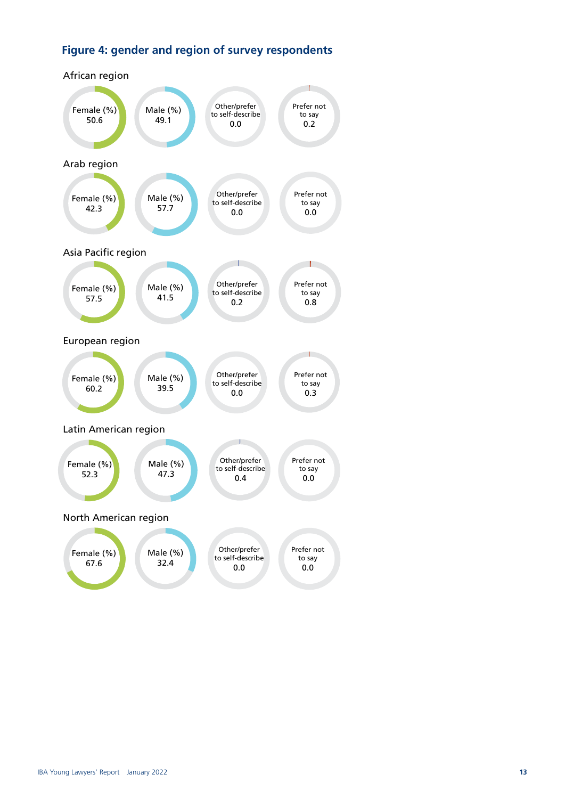### Figure 4: gender and region of survey respondents **Figure 4: gender and region of survey respondents**

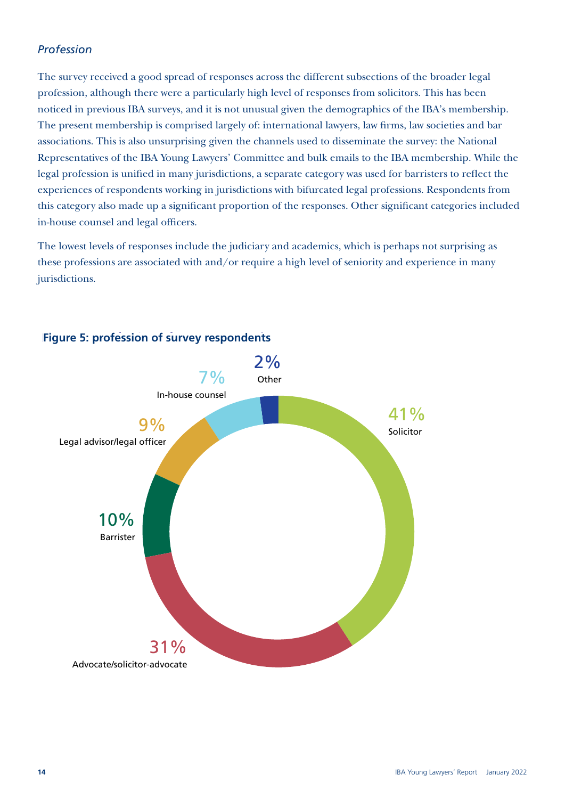### *Profession*

The survey received a good spread of responses across the different subsections of the broader legal profession, although there were a particularly high level of responses from solicitors. This has been noticed in previous IBA surveys, and it is not unusual given the demographics of the IBA's membership. The present membership is comprised largely of: international lawyers, law firms, law societies and bar associations. This is also unsurprising given the channels used to disseminate the survey: the National Representatives of the IBA Young Lawyers' Committee and bulk emails to the IBA membership. While the legal profession is unified in many jurisdictions, a separate category was used for barristers to reflect the experiences of respondents working in jurisdictions with bifurcated legal professions. Respondents from this category also made up a significant proportion of the responses. Other significant categories included in-house counsel and legal officers.

The lowest levels of responses include the judiciary and academics, which is perhaps not surprising as these professions are associated with and/or require a high level of seniority and experience in many jurisdictions.



### Figure 5: profession of survey respondents **Figure 5: profession of survey respondents**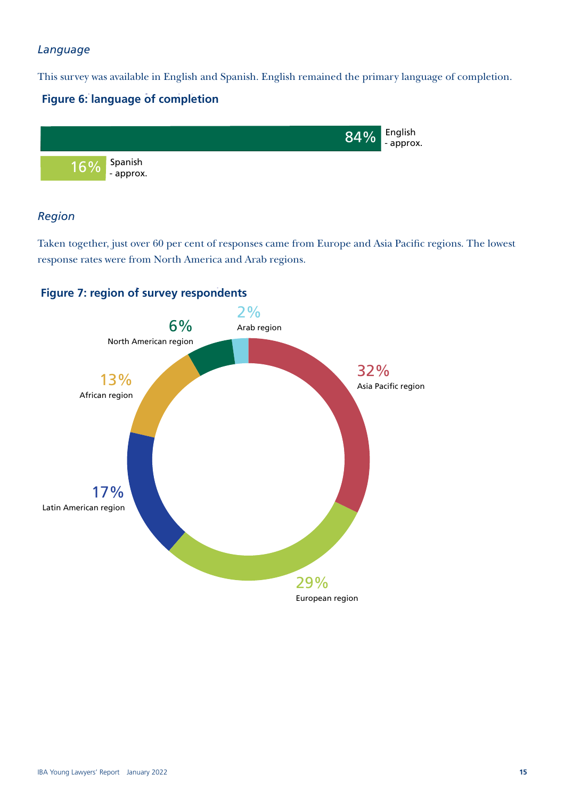### *Language*

This survey was available in English and Spanish. English remained the primary language of completion.

### Figure 6: language of completion **Figure 6: language of completion**



### *Region*

Taken together, just over 60 per cent of responses came from Europe and Asia Pacific regions. The lowest response rates were from North America and Arab regions.



### Figure 7: region of survey respondents **Figure 7: region of survey respondents**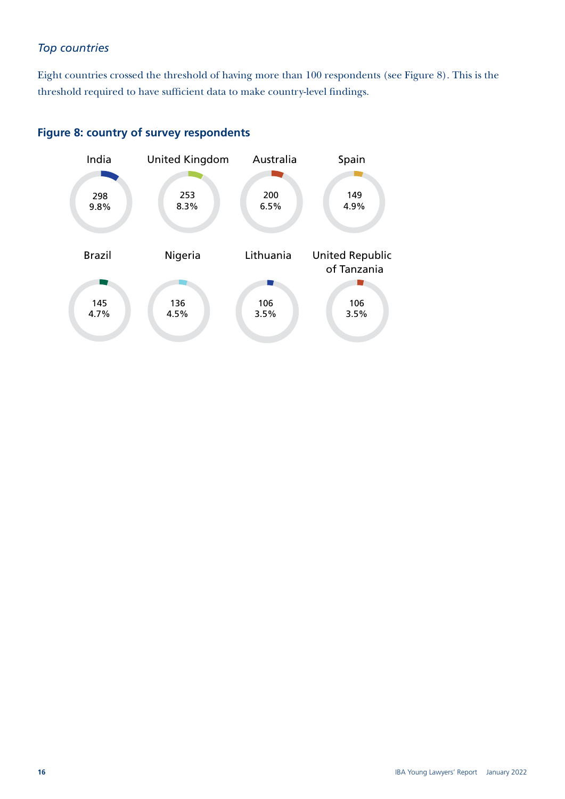### *Top countries*

Eight countries crossed the threshold of having more than 100 respondents (see Figure 8). This is the threshold required to have sufficient data to make country-level findings.

### Figure 8: country of survey respondents **Figure 8: country of survey respondents**

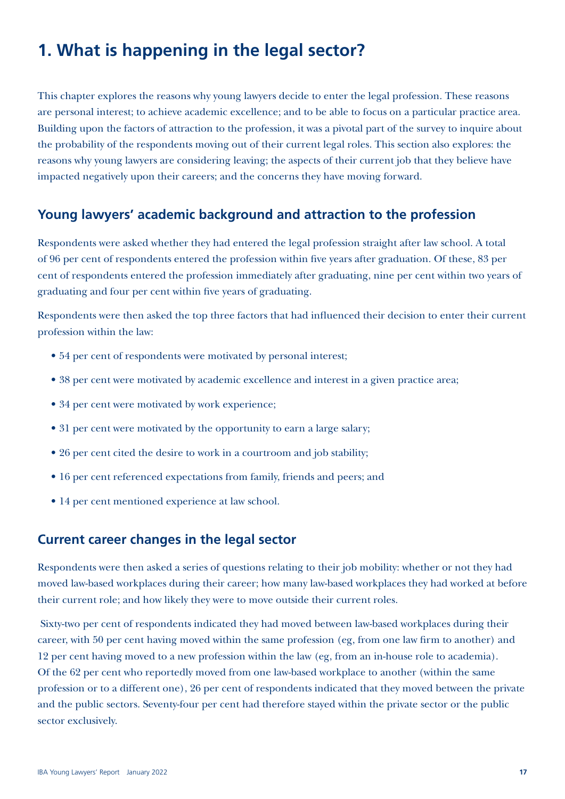# **1. What is happening in the legal sector?**

This chapter explores the reasons why young lawyers decide to enter the legal profession. These reasons are personal interest; to achieve academic excellence; and to be able to focus on a particular practice area. Building upon the factors of attraction to the profession, it was a pivotal part of the survey to inquire about the probability of the respondents moving out of their current legal roles. This section also explores: the reasons why young lawyers are considering leaving; the aspects of their current job that they believe have impacted negatively upon their careers; and the concerns they have moving forward.

### **Young lawyers' academic background and attraction to the profession**

Respondents were asked whether they had entered the legal profession straight after law school. A total of 96 per cent of respondents entered the profession within five years after graduation. Of these, 83 per cent of respondents entered the profession immediately after graduating, nine per cent within two years of graduating and four per cent within five years of graduating.

Respondents were then asked the top three factors that had influenced their decision to enter their current profession within the law:

- 54 per cent of respondents were motivated by personal interest;
- 38 per cent were motivated by academic excellence and interest in a given practice area;
- 34 per cent were motivated by work experience;
- 31 per cent were motivated by the opportunity to earn a large salary;
- 26 per cent cited the desire to work in a courtroom and job stability;
- 16 per cent referenced expectations from family, friends and peers; and
- 14 per cent mentioned experience at law school.

### **Current career changes in the legal sector**

Respondents were then asked a series of questions relating to their job mobility: whether or not they had moved law-based workplaces during their career; how many law-based workplaces they had worked at before their current role; and how likely they were to move outside their current roles.

 Sixty-two per cent of respondents indicated they had moved between law-based workplaces during their career, with 50 per cent having moved within the same profession (eg, from one law firm to another) and 12 per cent having moved to a new profession within the law (eg, from an in-house role to academia). Of the 62 per cent who reportedly moved from one law-based workplace to another (within the same profession or to a different one), 26 per cent of respondents indicated that they moved between the private and the public sectors. Seventy-four per cent had therefore stayed within the private sector or the public sector exclusively.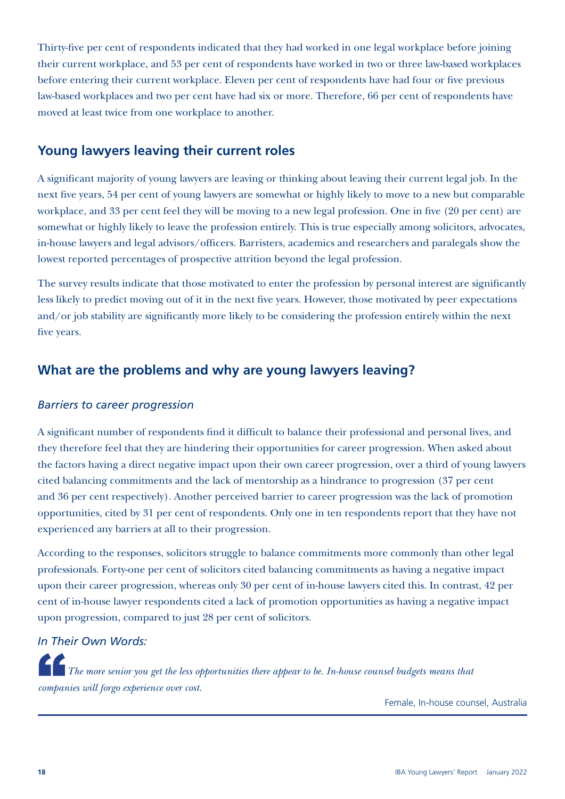Thirty-five per cent of respondents indicated that they had worked in one legal workplace before joining their current workplace, and 53 per cent of respondents have worked in two or three law-based workplaces before entering their current workplace. Eleven per cent of respondents have had four or five previous law-based workplaces and two per cent have had six or more. Therefore, 66 per cent of respondents have moved at least twice from one workplace to another.

### **Young lawyers leaving their current roles**

A significant majority of young lawyers are leaving or thinking about leaving their current legal job. In the next five years, 54 per cent of young lawyers are somewhat or highly likely to move to a new but comparable workplace, and 33 per cent feel they will be moving to a new legal profession. One in five (20 per cent) are somewhat or highly likely to leave the profession entirely. This is true especially among solicitors, advocates, in-house lawyers and legal advisors/officers. Barristers, academics and researchers and paralegals show the lowest reported percentages of prospective attrition beyond the legal profession.

The survey results indicate that those motivated to enter the profession by personal interest are significantly less likely to predict moving out of it in the next five years. However, those motivated by peer expectations and/or job stability are significantly more likely to be considering the profession entirely within the next five years.

### **What are the problems and why are young lawyers leaving?**

### *Barriers to career progression*

A significant number of respondents find it difficult to balance their professional and personal lives, and they therefore feel that they are hindering their opportunities for career progression. When asked about the factors having a direct negative impact upon their own career progression, over a third of young lawyers cited balancing commitments and the lack of mentorship as a hindrance to progression (37 per cent and 36 per cent respectively). Another perceived barrier to career progression was the lack of promotion opportunities, cited by 31 per cent of respondents. Only one in ten respondents report that they have not experienced any barriers at all to their progression.

According to the responses, solicitors struggle to balance commitments more commonly than other legal professionals. Forty-one per cent of solicitors cited balancing commitments as having a negative impact upon their career progression, whereas only 30 per cent of in-house lawyers cited this. In contrast, 42 per cent of in-house lawyer respondents cited a lack of promotion opportunities as having a negative impact upon progression, compared to just 28 per cent of solicitors.

### *In Their Own Words:*

The more senior you get the less opportunities there appear to be. In-house counsel budgets means that *companies will forgo experience over cost.*

Female, In-house counsel, Australia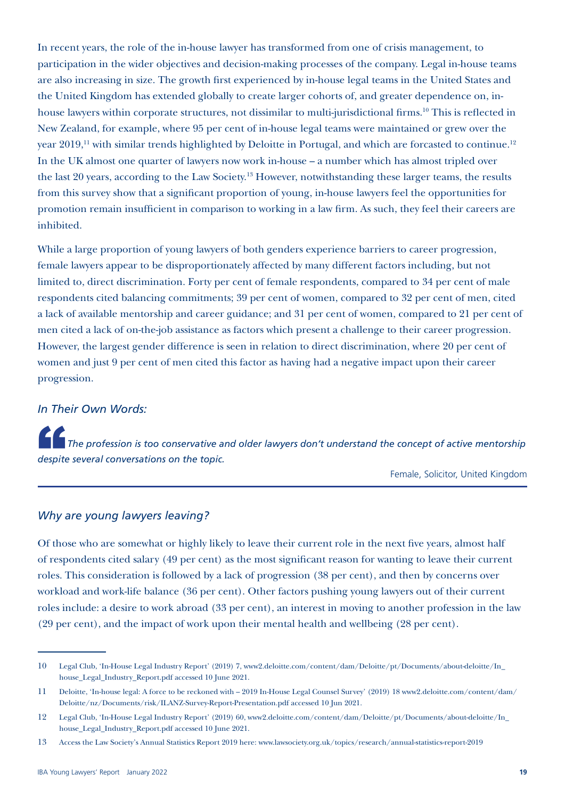In recent years, the role of the in-house lawyer has transformed from one of crisis management, to participation in the wider objectives and decision-making processes of the company. Legal in-house teams are also increasing in size. The growth first experienced by in-house legal teams in the United States and the United Kingdom has extended globally to create larger cohorts of, and greater dependence on, inhouse lawyers within corporate structures, not dissimilar to multi-jurisdictional firms.<sup>10</sup> This is reflected in New Zealand, for example, where 95 per cent of in-house legal teams were maintained or grew over the year 2019,<sup>11</sup> with similar trends highlighted by Deloitte in Portugal, and which are forcasted to continue.<sup>12</sup> In the UK almost one quarter of lawyers now work in-house – a number which has almost tripled over the last 20 years, according to the Law Society.13 However, notwithstanding these larger teams, the results from this survey show that a significant proportion of young, in-house lawyers feel the opportunities for promotion remain insufficient in comparison to working in a law firm. As such, they feel their careers are inhibited.

While a large proportion of young lawyers of both genders experience barriers to career progression, female lawyers appear to be disproportionately affected by many different factors including, but not limited to, direct discrimination. Forty per cent of female respondents, compared to 34 per cent of male respondents cited balancing commitments; 39 per cent of women, compared to 32 per cent of men, cited a lack of available mentorship and career guidance; and 31 per cent of women, compared to 21 per cent of men cited a lack of on-the-job assistance as factors which present a challenge to their career progression. However, the largest gender difference is seen in relation to direct discrimination, where 20 per cent of women and just 9 per cent of men cited this factor as having had a negative impact upon their career progression.

#### *In Their Own Words:*

The profession is too conservative and older lawyers don't understand the concept of active mentorship *despite several conversations on the topic.*

Female, Solicitor, United Kingdom

#### *Why are young lawyers leaving?*

Of those who are somewhat or highly likely to leave their current role in the next five years, almost half of respondents cited salary (49 per cent) as the most significant reason for wanting to leave their current roles. This consideration is followed by a lack of progression (38 per cent), and then by concerns over workload and work-life balance (36 per cent). Other factors pushing young lawyers out of their current roles include: a desire to work abroad (33 per cent), an interest in moving to another profession in the law (29 per cent), and the impact of work upon their mental health and wellbeing (28 per cent).

<sup>10</sup> Legal Club, 'In-House Legal Industry Report' (2019) 7, [www2.deloitte.com/content/dam/Deloitte/pt/Documents/about-deloitte/In\\_](https://www2.deloitte.com/content/dam/Deloitte/pt/Documents/about-deloitte/In_house_Legal_Industry_Report.pdf) [house\\_Legal\\_Industry\\_Report.pdf](https://www2.deloitte.com/content/dam/Deloitte/pt/Documents/about-deloitte/In_house_Legal_Industry_Report.pdf) accessed 10 June 2021.

<sup>11</sup> Deloitte, 'In-house legal: A force to be reckoned with – 2019 In-House Legal Counsel Survey' (2019) 18 [www2.deloitte.com/content/dam/](https://www2.deloitte.com/content/dam/Deloitte/nz/Documents/risk/ILANZ-Survey-Report-Presentation.pdf) [Deloitte/nz/Documents/risk/ILANZ-Survey-Report-Presentation.pdf](https://www2.deloitte.com/content/dam/Deloitte/nz/Documents/risk/ILANZ-Survey-Report-Presentation.pdf) accessed 10 Jun 2021.

<sup>12</sup> Legal Club, 'In-House Legal Industry Report' (2019) 60, [www2.deloitte.com/content/dam/Deloitte/pt/Documents/about-deloitte/In\\_](https://www2.deloitte.com/content/dam/Deloitte/pt/Documents/about-deloitte/In_house_Legal_Industry_Report.pdf) [house\\_Legal\\_Industry\\_Report.pdf](https://www2.deloitte.com/content/dam/Deloitte/pt/Documents/about-deloitte/In_house_Legal_Industry_Report.pdf) accessed 10 June 2021.

<sup>13</sup> Access the Law Society's Annual Statistics Report 2019 here: [www.lawsociety.org.uk/topics/research/annual-statistics-report-2019](http://www.lawsociety.org.uk/topics/research/annual-statistics-report-2019)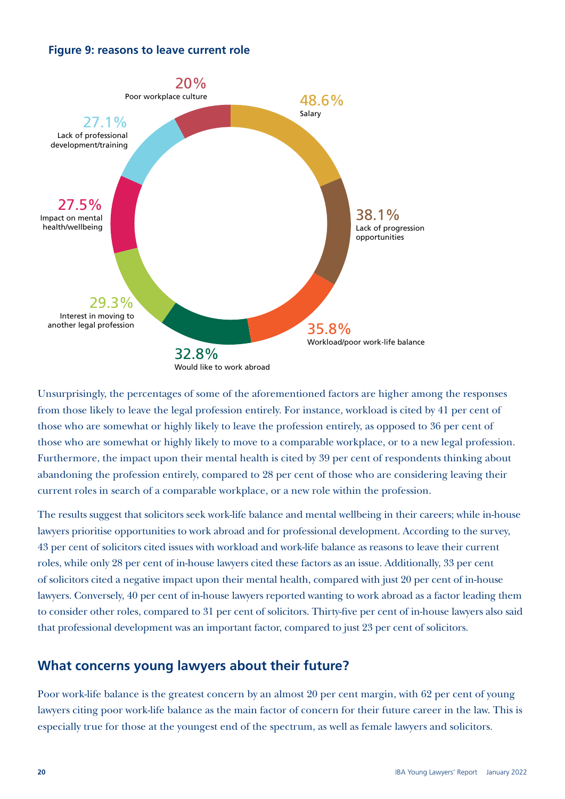### Figure 9: reasons to leave current role **Figure 9: reasons to leave current role**



Unsurprisingly, the percentages of some of the aforementioned factors are higher among the responses from those likely to leave the legal profession entirely. For instance, workload is cited by 41 per cent of those who are somewhat or highly likely to leave the profession entirely, as opposed to 36 per cent of those who are somewhat or highly likely to move to a comparable workplace, or to a new legal profession. Furthermore, the impact upon their mental health is cited by 39 per cent of respondents thinking about abandoning the profession entirely, compared to 28 per cent of those who are considering leaving their current roles in search of a comparable workplace, or a new role within the profession.

The results suggest that solicitors seek work-life balance and mental wellbeing in their careers; while in-house lawyers prioritise opportunities to work abroad and for professional development. According to the survey, 43 per cent of solicitors cited issues with workload and work-life balance as reasons to leave their current roles, while only 28 per cent of in-house lawyers cited these factors as an issue. Additionally, 33 per cent of solicitors cited a negative impact upon their mental health, compared with just 20 per cent of in-house lawyers. Conversely, 40 per cent of in-house lawyers reported wanting to work abroad as a factor leading them to consider other roles, compared to 31 per cent of solicitors. Thirty-five per cent of in-house lawyers also said that professional development was an important factor, compared to just 23 per cent of solicitors.

### **What concerns young lawyers about their future?**

Poor work-life balance is the greatest concern by an almost 20 per cent margin, with 62 per cent of young lawyers citing poor work-life balance as the main factor of concern for their future career in the law. This is especially true for those at the youngest end of the spectrum, as well as female lawyers and solicitors.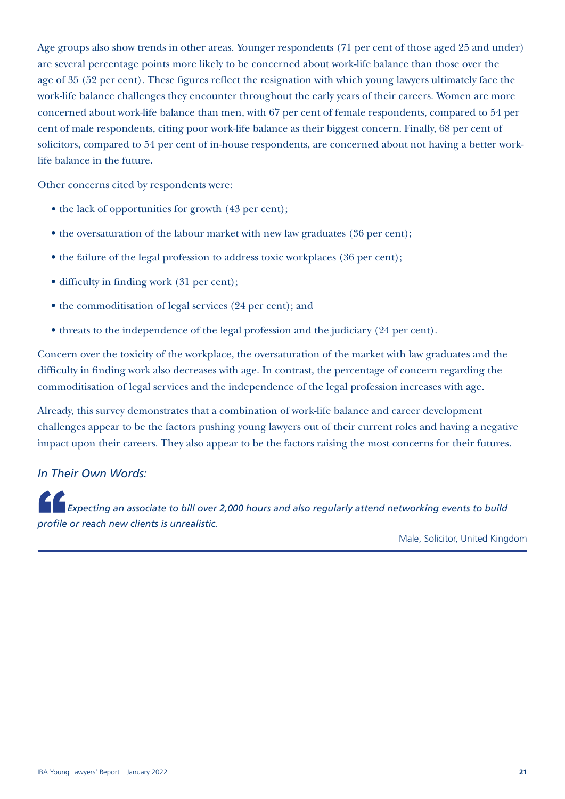Age groups also show trends in other areas. Younger respondents (71 per cent of those aged 25 and under) are several percentage points more likely to be concerned about work-life balance than those over the age of 35 (52 per cent). These figures reflect the resignation with which young lawyers ultimately face the work-life balance challenges they encounter throughout the early years of their careers. Women are more concerned about work-life balance than men, with 67 per cent of female respondents, compared to 54 per cent of male respondents, citing poor work-life balance as their biggest concern. Finally, 68 per cent of solicitors, compared to 54 per cent of in-house respondents, are concerned about not having a better worklife balance in the future.

Other concerns cited by respondents were:

- the lack of opportunities for growth (43 per cent);
- the oversaturation of the labour market with new law graduates (36 per cent);
- the failure of the legal profession to address toxic workplaces (36 per cent);
- difficulty in finding work (31 per cent);
- the commoditisation of legal services (24 per cent); and
- threats to the independence of the legal profession and the judiciary (24 per cent).

Concern over the toxicity of the workplace, the oversaturation of the market with law graduates and the difficulty in finding work also decreases with age. In contrast, the percentage of concern regarding the commoditisation of legal services and the independence of the legal profession increases with age.

Already, this survey demonstrates that a combination of work-life balance and career development challenges appear to be the factors pushing young lawyers out of their current roles and having a negative impact upon their careers. They also appear to be the factors raising the most concerns for their futures.

### *In Their Own Words:*

**Expecting an associate to bill over 2,000 hours and also regularly attend networking events to build <b>Expecting** *profile or reach new clients is unrealistic.*

Male, Solicitor, United Kingdom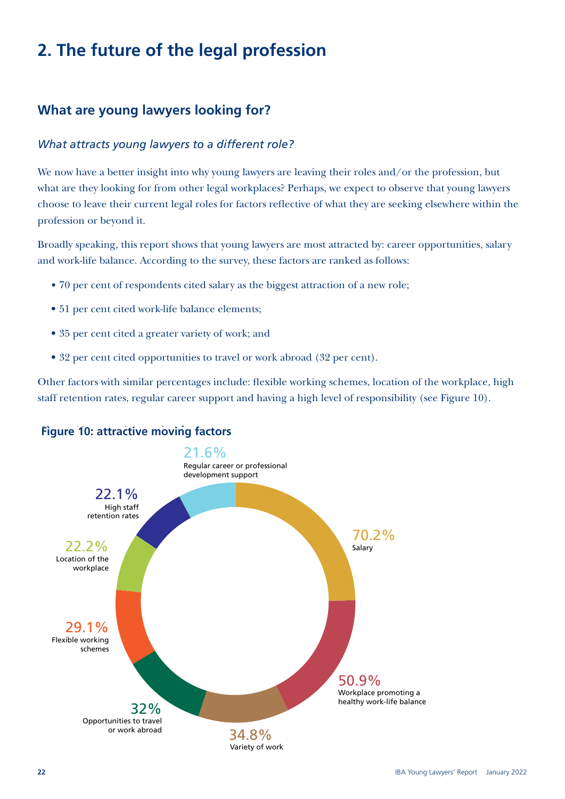# **2. The future of the legal profession**

### **What are young lawyers looking for?**

### *What attracts young lawyers to a different role?*

We now have a better insight into why young lawyers are leaving their roles and/or the profession, but what are they looking for from other legal workplaces? Perhaps, we expect to observe that young lawyers choose to leave their current legal roles for factors reflective of what they are seeking elsewhere within the profession or beyond it.

Broadly speaking, this report shows that young lawyers are most attracted by: career opportunities, salary and work-life balance. According to the survey, these factors are ranked as follows:

- 70 per cent of respondents cited salary as the biggest attraction of a new role;
- 51 per cent cited work-life balance elements;
- 35 per cent cited a greater variety of work; and
- 32 per cent cited opportunities to travel or work abroad (32 per cent).

Other factors with similar percentages include: flexible working schemes, location of the workplace, high staff retention rates, regular career support and having a high level of responsibility (see Figure 10).

### Figure 10: attractive moving factors **Figure 10: attractive moving factors**

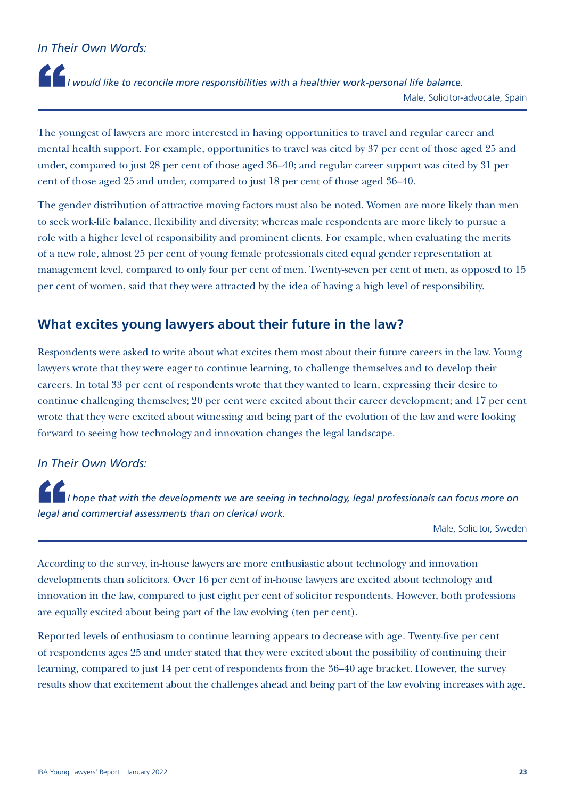### *In Their Own Words:*

"*I would like to reconcile more responsibilities with a healthier work-personal life balance.* Male, Solicitor-advocate, Spain

The youngest of lawyers are more interested in having opportunities to travel and regular career and mental health support. For example, opportunities to travel was cited by 37 per cent of those aged 25 and under, compared to just 28 per cent of those aged 36–40; and regular career support was cited by 31 per cent of those aged 25 and under, compared to just 18 per cent of those aged 36–40.

The gender distribution of attractive moving factors must also be noted. Women are more likely than men to seek work-life balance, flexibility and diversity; whereas male respondents are more likely to pursue a role with a higher level of responsibility and prominent clients. For example, when evaluating the merits of a new role, almost 25 per cent of young female professionals cited equal gender representation at management level, compared to only four per cent of men. Twenty-seven per cent of men, as opposed to 15 per cent of women, said that they were attracted by the idea of having a high level of responsibility.

### **What excites young lawyers about their future in the law?**

Respondents were asked to write about what excites them most about their future careers in the law. Young lawyers wrote that they were eager to continue learning, to challenge themselves and to develop their careers. In total 33 per cent of respondents wrote that they wanted to learn, expressing their desire to continue challenging themselves; 20 per cent were excited about their career development; and 17 per cent wrote that they were excited about witnessing and being part of the evolution of the law and were looking forward to seeing how technology and innovation changes the legal landscape.

### *In Their Own Words:*

"*I hope that with the developments we are seeing in technology, legal professionals can focus more on legal and commercial assessments than on clerical work.*

Male, Solicitor, Sweden

According to the survey, in-house lawyers are more enthusiastic about technology and innovation developments than solicitors. Over 16 per cent of in-house lawyers are excited about technology and innovation in the law, compared to just eight per cent of solicitor respondents. However, both professions are equally excited about being part of the law evolving (ten per cent).

Reported levels of enthusiasm to continue learning appears to decrease with age. Twenty-five per cent of respondents ages 25 and under stated that they were excited about the possibility of continuing their learning, compared to just 14 per cent of respondents from the 36–40 age bracket. However, the survey results show that excitement about the challenges ahead and being part of the law evolving increases with age.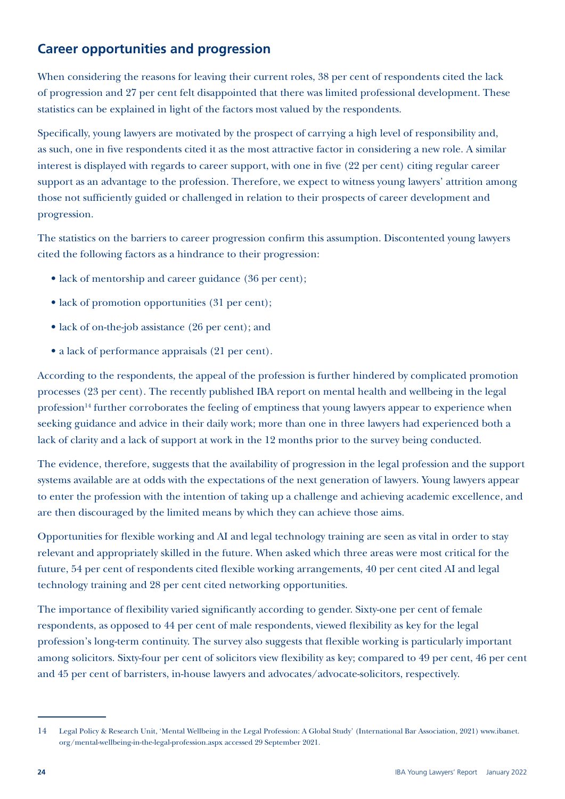### **Career opportunities and progression**

When considering the reasons for leaving their current roles, 38 per cent of respondents cited the lack of progression and 27 per cent felt disappointed that there was limited professional development. These statistics can be explained in light of the factors most valued by the respondents.

Specifically, young lawyers are motivated by the prospect of carrying a high level of responsibility and, as such, one in five respondents cited it as the most attractive factor in considering a new role. A similar interest is displayed with regards to career support, with one in five (22 per cent) citing regular career support as an advantage to the profession. Therefore, we expect to witness young lawyers' attrition among those not sufficiently guided or challenged in relation to their prospects of career development and progression.

The statistics on the barriers to career progression confirm this assumption. Discontented young lawyers cited the following factors as a hindrance to their progression:

- lack of mentorship and career guidance (36 per cent);
- lack of promotion opportunities (31 per cent);
- lack of on-the-job assistance (26 per cent); and
- a lack of performance appraisals (21 per cent).

According to the respondents, the appeal of the profession is further hindered by complicated promotion processes (23 per cent). The recently published IBA report on mental health and wellbeing in the legal profession<sup>14</sup> further corroborates the feeling of emptiness that young lawyers appear to experience when seeking guidance and advice in their daily work; more than one in three lawyers had experienced both a lack of clarity and a lack of support at work in the 12 months prior to the survey being conducted.

The evidence, therefore, suggests that the availability of progression in the legal profession and the support systems available are at odds with the expectations of the next generation of lawyers. Young lawyers appear to enter the profession with the intention of taking up a challenge and achieving academic excellence, and are then discouraged by the limited means by which they can achieve those aims.

Opportunities for flexible working and AI and legal technology training are seen as vital in order to stay relevant and appropriately skilled in the future. When asked which three areas were most critical for the future, 54 per cent of respondents cited flexible working arrangements, 40 per cent cited AI and legal technology training and 28 per cent cited networking opportunities.

The importance of flexibility varied significantly according to gender. Sixty-one per cent of female respondents, as opposed to 44 per cent of male respondents, viewed flexibility as key for the legal profession's long-term continuity. The survey also suggests that flexible working is particularly important among solicitors. Sixty-four per cent of solicitors view flexibility as key; compared to 49 per cent, 46 per cent and 45 per cent of barristers, in-house lawyers and advocates/advocate-solicitors, respectively.

<sup>14</sup> Legal Policy & Research Unit, 'Mental Wellbeing in the Legal Profession: A Global Study' (International Bar Association, 2021) [www.ibanet.](http://www.ibanet.org/Mental-wellbeing-in-the-legal-profession.aspx) [org/mental-wellbeing-in-the-legal-profession.aspx](http://www.ibanet.org/Mental-wellbeing-in-the-legal-profession.aspx) accessed 29 September 2021.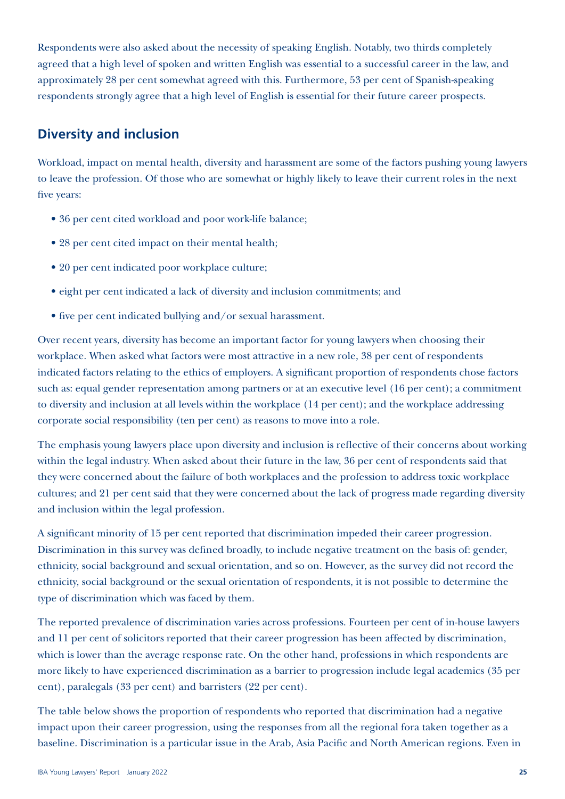Respondents were also asked about the necessity of speaking English. Notably, two thirds completely agreed that a high level of spoken and written English was essential to a successful career in the law, and approximately 28 per cent somewhat agreed with this. Furthermore, 53 per cent of Spanish-speaking respondents strongly agree that a high level of English is essential for their future career prospects.

### **Diversity and inclusion**

Workload, impact on mental health, diversity and harassment are some of the factors pushing young lawyers to leave the profession. Of those who are somewhat or highly likely to leave their current roles in the next five years:

- 36 per cent cited workload and poor work-life balance;
- 28 per cent cited impact on their mental health;
- 20 per cent indicated poor workplace culture;
- eight per cent indicated a lack of diversity and inclusion commitments; and
- five per cent indicated bullying and/or sexual harassment.

Over recent years, diversity has become an important factor for young lawyers when choosing their workplace. When asked what factors were most attractive in a new role, 38 per cent of respondents indicated factors relating to the ethics of employers. A significant proportion of respondents chose factors such as: equal gender representation among partners or at an executive level (16 per cent); a commitment to diversity and inclusion at all levels within the workplace (14 per cent); and the workplace addressing corporate social responsibility (ten per cent) as reasons to move into a role.

The emphasis young lawyers place upon diversity and inclusion is reflective of their concerns about working within the legal industry. When asked about their future in the law, 36 per cent of respondents said that they were concerned about the failure of both workplaces and the profession to address toxic workplace cultures; and 21 per cent said that they were concerned about the lack of progress made regarding diversity and inclusion within the legal profession.

A significant minority of 15 per cent reported that discrimination impeded their career progression. Discrimination in this survey was defined broadly, to include negative treatment on the basis of: gender, ethnicity, social background and sexual orientation, and so on. However, as the survey did not record the ethnicity, social background or the sexual orientation of respondents, it is not possible to determine the type of discrimination which was faced by them.

The reported prevalence of discrimination varies across professions. Fourteen per cent of in-house lawyers and 11 per cent of solicitors reported that their career progression has been affected by discrimination, which is lower than the average response rate. On the other hand, professions in which respondents are more likely to have experienced discrimination as a barrier to progression include legal academics (35 per cent), paralegals (33 per cent) and barristers (22 per cent).

The table below shows the proportion of respondents who reported that discrimination had a negative impact upon their career progression, using the responses from all the regional fora taken together as a baseline. Discrimination is a particular issue in the Arab, Asia Pacific and North American regions. Even in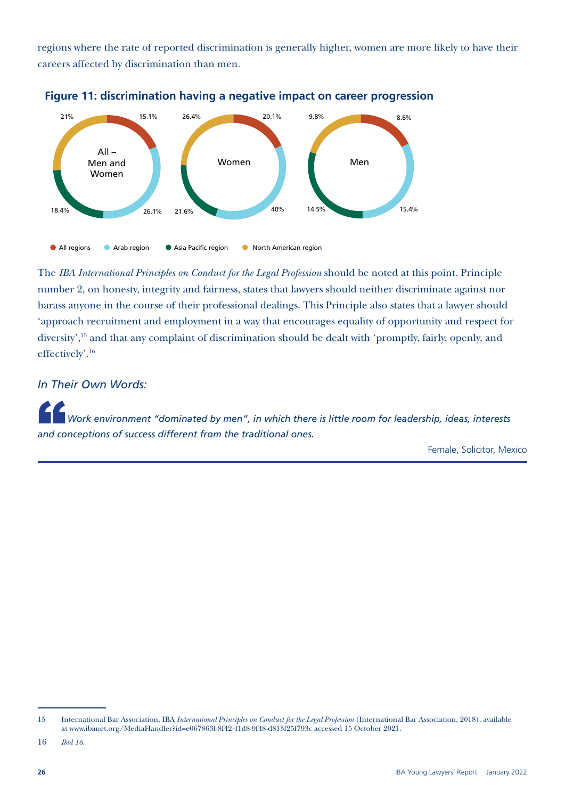regions where the rate of reported discrimination is generally higher, women are more likely to have their careers affected by discrimination than men.





The *IBA International Principles on Conduct for the Legal Profession* should be noted at this point. Principle number 2, on honesty, integrity and fairness, states that lawyers should neither discriminate against nor harass anyone in the course of their professional dealings. This Principle also states that a lawyer should 'approach recruitment and employment in a way that encourages equality of opportunity and respect for diversity',15 and that any complaint of discrimination should be dealt with 'promptly, fairly, openly, and effectively'.16

*In Their Own Words:*

"*Work environment "dominated by men", in which there is little room for leadership, ideas, interests and conceptions of success different from the traditional ones.*

Female, Solicitor, Mexico

<sup>15</sup> International Bar Association, IBA *International Principles on Conduct for the Legal Profession* (International Bar Association, 2018), available at [www.ibanet.org/MediaHandler?id=e067863f-8f42-41d8-9f48-d813f25f793c](http://www.ibanet.org/MediaHandler?id=e067863f-8f42-41d8-9f48-d813f25f793c) accessed 15 October 2021.

<sup>16</sup> *Ibid 16.*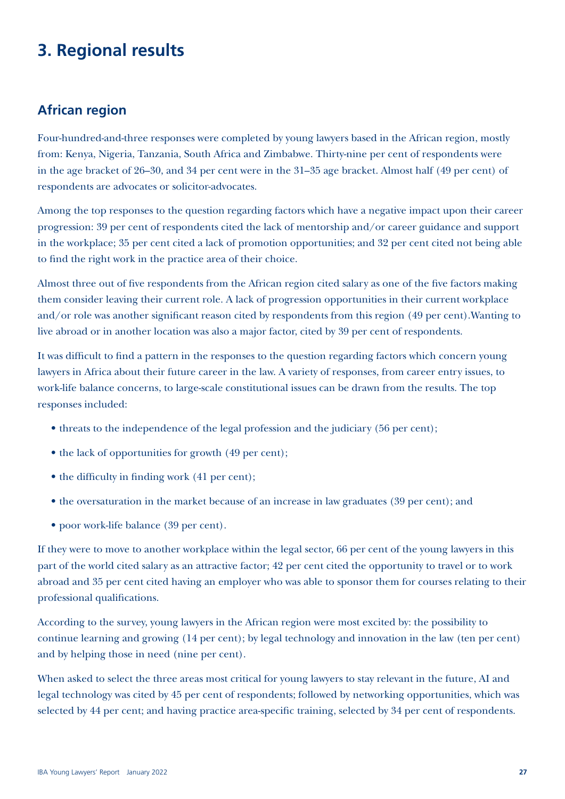# **3. Regional results**

### **African region**

Four-hundred-and-three responses were completed by young lawyers based in the African region, mostly from: Kenya, Nigeria, Tanzania, South Africa and Zimbabwe. Thirty-nine per cent of respondents were in the age bracket of 26–30, and 34 per cent were in the 31–35 age bracket. Almost half (49 per cent) of respondents are advocates or solicitor-advocates.

Among the top responses to the question regarding factors which have a negative impact upon their career progression: 39 per cent of respondents cited the lack of mentorship and/or career guidance and support in the workplace; 35 per cent cited a lack of promotion opportunities; and 32 per cent cited not being able to find the right work in the practice area of their choice.

Almost three out of five respondents from the African region cited salary as one of the five factors making them consider leaving their current role. A lack of progression opportunities in their current workplace and/or role was another significant reason cited by respondents from this region (49 per cent).Wanting to live abroad or in another location was also a major factor, cited by 39 per cent of respondents.

It was difficult to find a pattern in the responses to the question regarding factors which concern young lawyers in Africa about their future career in the law. A variety of responses, from career entry issues, to work-life balance concerns, to large-scale constitutional issues can be drawn from the results. The top responses included:

- threats to the independence of the legal profession and the judiciary (56 per cent);
- the lack of opportunities for growth (49 per cent);
- the difficulty in finding work (41 per cent);
- the oversaturation in the market because of an increase in law graduates (39 per cent); and
- poor work-life balance (39 per cent).

If they were to move to another workplace within the legal sector, 66 per cent of the young lawyers in this part of the world cited salary as an attractive factor; 42 per cent cited the opportunity to travel or to work abroad and 35 per cent cited having an employer who was able to sponsor them for courses relating to their professional qualifications.

According to the survey, young lawyers in the African region were most excited by: the possibility to continue learning and growing (14 per cent); by legal technology and innovation in the law (ten per cent) and by helping those in need (nine per cent).

When asked to select the three areas most critical for young lawyers to stay relevant in the future, AI and legal technology was cited by 45 per cent of respondents; followed by networking opportunities, which was selected by 44 per cent; and having practice area-specific training, selected by 34 per cent of respondents.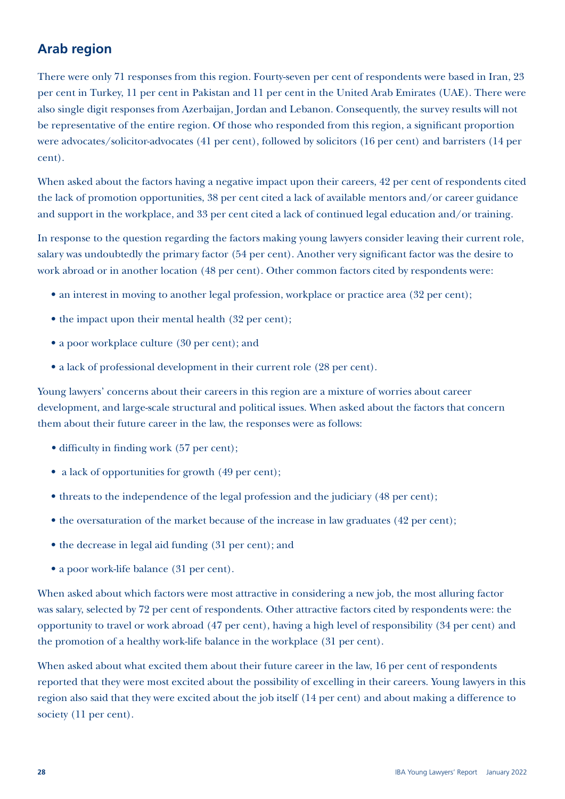### **Arab region**

There were only 71 responses from this region. Fourty-seven per cent of respondents were based in Iran, 23 per cent in Turkey, 11 per cent in Pakistan and 11 per cent in the United Arab Emirates (UAE). There were also single digit responses from Azerbaijan, Jordan and Lebanon. Consequently, the survey results will not be representative of the entire region. Of those who responded from this region, a significant proportion were advocates/solicitor-advocates (41 per cent), followed by solicitors (16 per cent) and barristers (14 per cent).

When asked about the factors having a negative impact upon their careers, 42 per cent of respondents cited the lack of promotion opportunities, 38 per cent cited a lack of available mentors and/or career guidance and support in the workplace, and 33 per cent cited a lack of continued legal education and/or training.

In response to the question regarding the factors making young lawyers consider leaving their current role, salary was undoubtedly the primary factor (54 per cent). Another very significant factor was the desire to work abroad or in another location (48 per cent). Other common factors cited by respondents were:

- an interest in moving to another legal profession, workplace or practice area (32 per cent);
- the impact upon their mental health (32 per cent);
- a poor workplace culture (30 per cent); and
- a lack of professional development in their current role (28 per cent).

Young lawyers' concerns about their careers in this region are a mixture of worries about career development, and large-scale structural and political issues. When asked about the factors that concern them about their future career in the law, the responses were as follows:

- difficulty in finding work (57 per cent);
- a lack of opportunities for growth (49 per cent);
- threats to the independence of the legal profession and the judiciary (48 per cent);
- the oversaturation of the market because of the increase in law graduates (42 per cent);
- the decrease in legal aid funding (31 per cent); and
- a poor work-life balance (31 per cent).

When asked about which factors were most attractive in considering a new job, the most alluring factor was salary, selected by 72 per cent of respondents. Other attractive factors cited by respondents were: the opportunity to travel or work abroad (47 per cent), having a high level of responsibility (34 per cent) and the promotion of a healthy work-life balance in the workplace (31 per cent).

When asked about what excited them about their future career in the law, 16 per cent of respondents reported that they were most excited about the possibility of excelling in their careers. Young lawyers in this region also said that they were excited about the job itself (14 per cent) and about making a difference to society (11 per cent).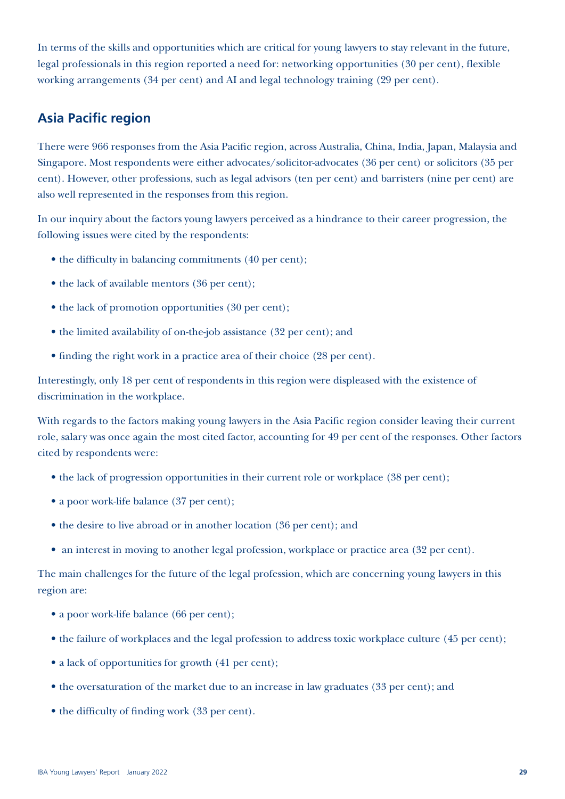In terms of the skills and opportunities which are critical for young lawyers to stay relevant in the future, legal professionals in this region reported a need for: networking opportunities (30 per cent), flexible working arrangements (34 per cent) and AI and legal technology training (29 per cent).

### **Asia Pacific region**

There were 966 responses from the Asia Pacific region, across Australia, China, India, Japan, Malaysia and Singapore. Most respondents were either advocates/solicitor-advocates (36 per cent) or solicitors (35 per cent). However, other professions, such as legal advisors (ten per cent) and barristers (nine per cent) are also well represented in the responses from this region.

In our inquiry about the factors young lawyers perceived as a hindrance to their career progression, the following issues were cited by the respondents:

- the difficulty in balancing commitments (40 per cent);
- the lack of available mentors (36 per cent);
- the lack of promotion opportunities (30 per cent);
- the limited availability of on-the-job assistance (32 per cent); and
- finding the right work in a practice area of their choice (28 per cent).

Interestingly, only 18 per cent of respondents in this region were displeased with the existence of discrimination in the workplace.

With regards to the factors making young lawyers in the Asia Pacific region consider leaving their current role, salary was once again the most cited factor, accounting for 49 per cent of the responses. Other factors cited by respondents were:

- the lack of progression opportunities in their current role or workplace (38 per cent);
- a poor work-life balance (37 per cent);
- the desire to live abroad or in another location (36 per cent); and
- an interest in moving to another legal profession, workplace or practice area (32 per cent).

The main challenges for the future of the legal profession, which are concerning young lawyers in this region are:

- a poor work-life balance (66 per cent);
- the failure of workplaces and the legal profession to address toxic workplace culture (45 per cent);
- a lack of opportunities for growth (41 per cent);
- the oversaturation of the market due to an increase in law graduates (33 per cent); and
- the difficulty of finding work (33 per cent).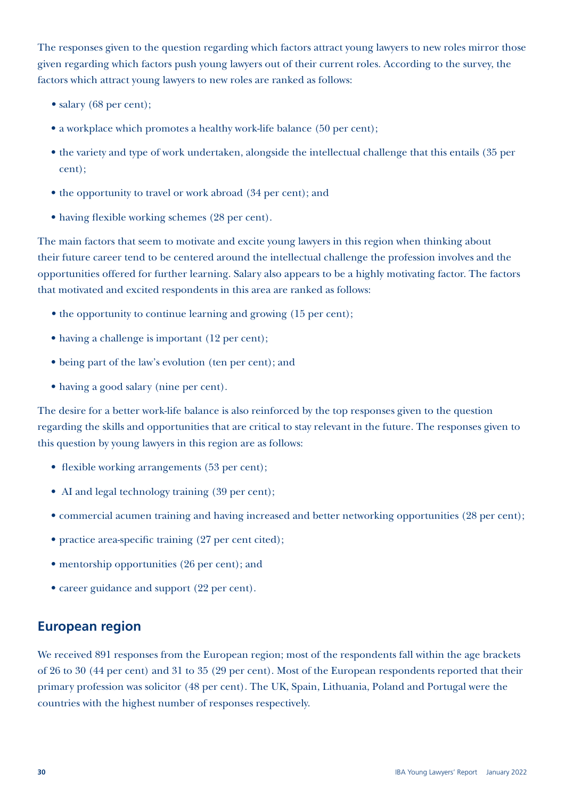The responses given to the question regarding which factors attract young lawyers to new roles mirror those given regarding which factors push young lawyers out of their current roles. According to the survey, the factors which attract young lawyers to new roles are ranked as follows:

- salary (68 per cent);
- a workplace which promotes a healthy work-life balance (50 per cent);
- the variety and type of work undertaken, alongside the intellectual challenge that this entails (35 per cent);
- the opportunity to travel or work abroad (34 per cent); and
- having flexible working schemes (28 per cent).

The main factors that seem to motivate and excite young lawyers in this region when thinking about their future career tend to be centered around the intellectual challenge the profession involves and the opportunities offered for further learning. Salary also appears to be a highly motivating factor. The factors that motivated and excited respondents in this area are ranked as follows:

- the opportunity to continue learning and growing (15 per cent);
- having a challenge is important (12 per cent);
- being part of the law's evolution (ten per cent); and
- having a good salary (nine per cent).

The desire for a better work-life balance is also reinforced by the top responses given to the question regarding the skills and opportunities that are critical to stay relevant in the future. The responses given to this question by young lawyers in this region are as follows:

- flexible working arrangements (53 per cent);
- AI and legal technology training (39 per cent);
- commercial acumen training and having increased and better networking opportunities (28 per cent);
- practice area-specific training (27 per cent cited);
- mentorship opportunities (26 per cent); and
- career guidance and support (22 per cent).

### **European region**

We received 891 responses from the European region; most of the respondents fall within the age brackets of 26 to 30 (44 per cent) and 31 to 35 (29 per cent). Most of the European respondents reported that their primary profession was solicitor (48 per cent). The UK, Spain, Lithuania, Poland and Portugal were the countries with the highest number of responses respectively.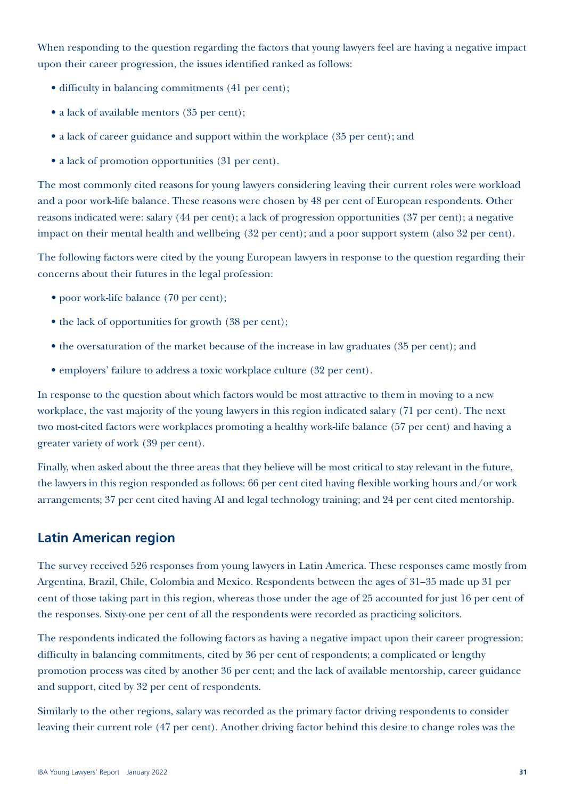When responding to the question regarding the factors that young lawyers feel are having a negative impact upon their career progression, the issues identified ranked as follows:

- difficulty in balancing commitments (41 per cent);
- a lack of available mentors (35 per cent);
- a lack of career guidance and support within the workplace (35 per cent); and
- a lack of promotion opportunities (31 per cent).

The most commonly cited reasons for young lawyers considering leaving their current roles were workload and a poor work-life balance. These reasons were chosen by 48 per cent of European respondents. Other reasons indicated were: salary (44 per cent); a lack of progression opportunities (37 per cent); a negative impact on their mental health and wellbeing (32 per cent); and a poor support system (also 32 per cent).

The following factors were cited by the young European lawyers in response to the question regarding their concerns about their futures in the legal profession:

- poor work-life balance (70 per cent):
- the lack of opportunities for growth (38 per cent);
- the oversaturation of the market because of the increase in law graduates (35 per cent); and
- employers' failure to address a toxic workplace culture (32 per cent).

In response to the question about which factors would be most attractive to them in moving to a new workplace, the vast majority of the young lawyers in this region indicated salary (71 per cent). The next two most-cited factors were workplaces promoting a healthy work-life balance (57 per cent) and having a greater variety of work (39 per cent).

Finally, when asked about the three areas that they believe will be most critical to stay relevant in the future, the lawyers in this region responded as follows: 66 per cent cited having flexible working hours and/or work arrangements; 37 per cent cited having AI and legal technology training; and 24 per cent cited mentorship.

### **Latin American region**

The survey received 526 responses from young lawyers in Latin America. These responses came mostly from Argentina, Brazil, Chile, Colombia and Mexico. Respondents between the ages of 31–35 made up 31 per cent of those taking part in this region, whereas those under the age of 25 accounted for just 16 per cent of the responses. Sixty-one per cent of all the respondents were recorded as practicing solicitors.

The respondents indicated the following factors as having a negative impact upon their career progression: difficulty in balancing commitments, cited by 36 per cent of respondents; a complicated or lengthy promotion process was cited by another 36 per cent; and the lack of available mentorship, career guidance and support, cited by 32 per cent of respondents.

Similarly to the other regions, salary was recorded as the primary factor driving respondents to consider leaving their current role (47 per cent). Another driving factor behind this desire to change roles was the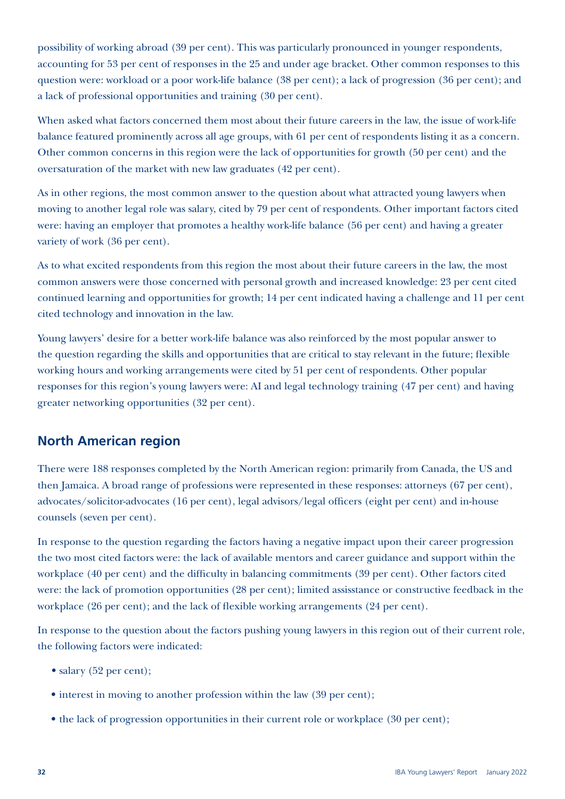possibility of working abroad (39 per cent). This was particularly pronounced in younger respondents, accounting for 53 per cent of responses in the 25 and under age bracket. Other common responses to this question were: workload or a poor work-life balance (38 per cent); a lack of progression (36 per cent); and a lack of professional opportunities and training (30 per cent).

When asked what factors concerned them most about their future careers in the law, the issue of work-life balance featured prominently across all age groups, with 61 per cent of respondents listing it as a concern. Other common concerns in this region were the lack of opportunities for growth (50 per cent) and the oversaturation of the market with new law graduates (42 per cent).

As in other regions, the most common answer to the question about what attracted young lawyers when moving to another legal role was salary, cited by 79 per cent of respondents. Other important factors cited were: having an employer that promotes a healthy work-life balance (56 per cent) and having a greater variety of work (36 per cent).

As to what excited respondents from this region the most about their future careers in the law, the most common answers were those concerned with personal growth and increased knowledge: 23 per cent cited continued learning and opportunities for growth; 14 per cent indicated having a challenge and 11 per cent cited technology and innovation in the law.

Young lawyers' desire for a better work-life balance was also reinforced by the most popular answer to the question regarding the skills and opportunities that are critical to stay relevant in the future; flexible working hours and working arrangements were cited by 51 per cent of respondents. Other popular responses for this region's young lawyers were: AI and legal technology training (47 per cent) and having greater networking opportunities (32 per cent).

### **North American region**

There were 188 responses completed by the North American region: primarily from Canada, the US and then Jamaica. A broad range of professions were represented in these responses: attorneys (67 per cent), advocates/solicitor-advocates (16 per cent), legal advisors/legal officers (eight per cent) and in-house counsels (seven per cent).

In response to the question regarding the factors having a negative impact upon their career progression the two most cited factors were: the lack of available mentors and career guidance and support within the workplace (40 per cent) and the difficulty in balancing commitments (39 per cent). Other factors cited were: the lack of promotion opportunities (28 per cent); limited assisstance or constructive feedback in the workplace (26 per cent); and the lack of flexible working arrangements (24 per cent).

In response to the question about the factors pushing young lawyers in this region out of their current role, the following factors were indicated:

- salary (52 per cent):
- interest in moving to another profession within the law (39 per cent);
- the lack of progression opportunities in their current role or workplace (30 per cent);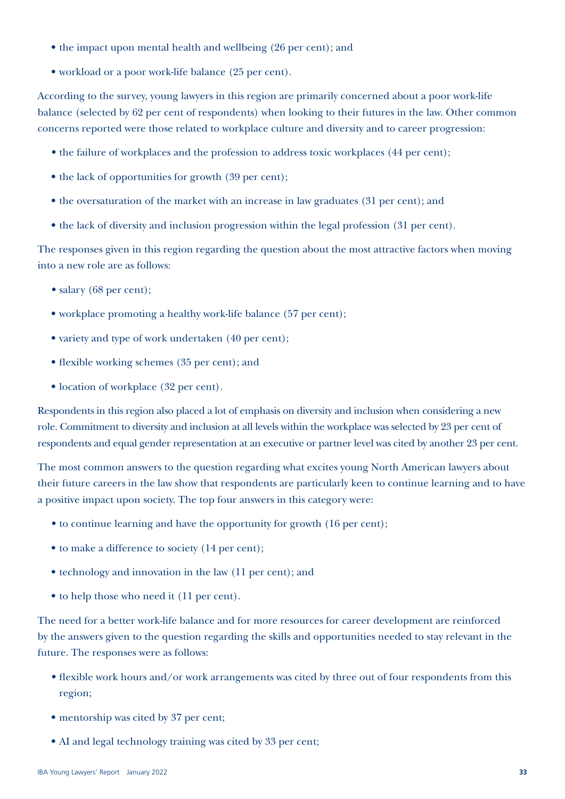- the impact upon mental health and wellbeing (26 per cent); and
- workload or a poor work-life balance (25 per cent).

According to the survey, young lawyers in this region are primarily concerned about a poor work-life balance (selected by 62 per cent of respondents) when looking to their futures in the law. Other common concerns reported were those related to workplace culture and diversity and to career progression:

- the failure of workplaces and the profession to address toxic workplaces (44 per cent);
- the lack of opportunities for growth (39 per cent);
- the oversaturation of the market with an increase in law graduates (31 per cent); and
- the lack of diversity and inclusion progression within the legal profession (31 per cent).

The responses given in this region regarding the question about the most attractive factors when moving into a new role are as follows:

- salary (68 per cent);
- workplace promoting a healthy work-life balance (57 per cent);
- variety and type of work undertaken (40 per cent);
- flexible working schemes (35 per cent); and
- location of workplace (32 per cent).

Respondents in this region also placed a lot of emphasis on diversity and inclusion when considering a new role. Commitment to diversity and inclusion at all levels within the workplace was selected by 23 per cent of respondents and equal gender representation at an executive or partner level was cited by another 23 per cent.

The most common answers to the question regarding what excites young North American lawyers about their future careers in the law show that respondents are particularly keen to continue learning and to have a positive impact upon society. The top four answers in this category were:

- to continue learning and have the opportunity for growth (16 per cent);
- to make a difference to society (14 per cent);
- technology and innovation in the law (11 per cent); and
- to help those who need it (11 per cent).

The need for a better work-life balance and for more resources for career development are reinforced by the answers given to the question regarding the skills and opportunities needed to stay relevant in the future. The responses were as follows:

- flexible work hours and/or work arrangements was cited by three out of four respondents from this region;
- mentorship was cited by 37 per cent;
- AI and legal technology training was cited by 33 per cent;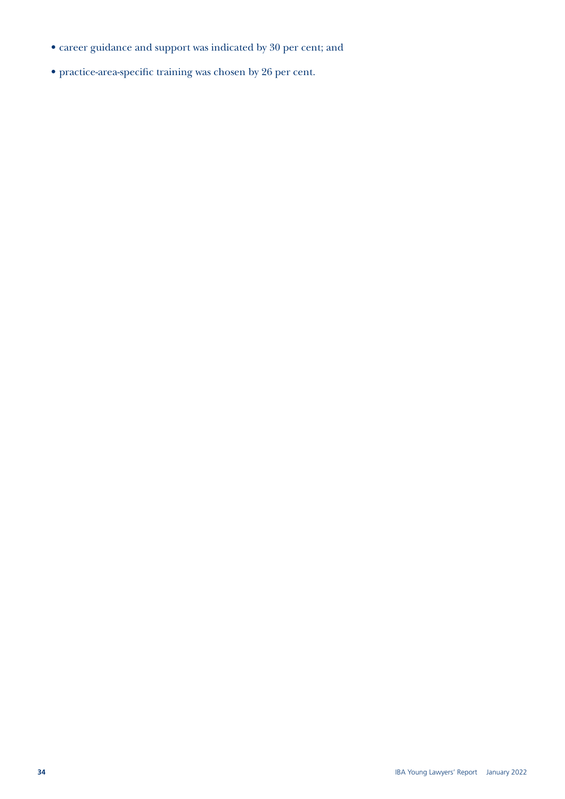- career guidance and support was indicated by 30 per cent; and
- practice-area-specific training was chosen by 26 per cent.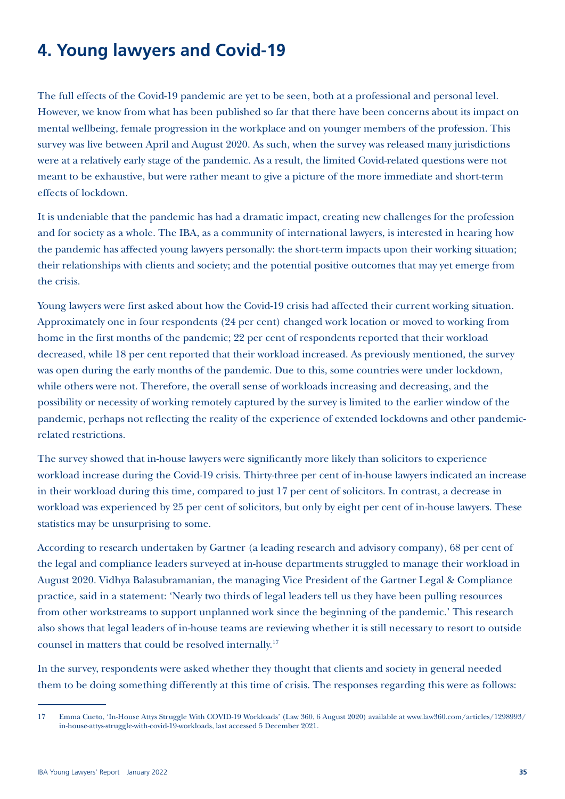# **4. Young lawyers and Covid-19**

The full effects of the Covid-19 pandemic are yet to be seen, both at a professional and personal level. However, we know from what has been published so far that there have been concerns about its impact on mental wellbeing, female progression in the workplace and on younger members of the profession. This survey was live between April and August 2020. As such, when the survey was released many jurisdictions were at a relatively early stage of the pandemic. As a result, the limited Covid-related questions were not meant to be exhaustive, but were rather meant to give a picture of the more immediate and short-term effects of lockdown.

It is undeniable that the pandemic has had a dramatic impact, creating new challenges for the profession and for society as a whole. The IBA, as a community of international lawyers, is interested in hearing how the pandemic has affected young lawyers personally: the short-term impacts upon their working situation; their relationships with clients and society; and the potential positive outcomes that may yet emerge from the crisis.

Young lawyers were first asked about how the Covid-19 crisis had affected their current working situation. Approximately one in four respondents (24 per cent) changed work location or moved to working from home in the first months of the pandemic; 22 per cent of respondents reported that their workload decreased, while 18 per cent reported that their workload increased. As previously mentioned, the survey was open during the early months of the pandemic. Due to this, some countries were under lockdown, while others were not. Therefore, the overall sense of workloads increasing and decreasing, and the possibility or necessity of working remotely captured by the survey is limited to the earlier window of the pandemic, perhaps not reflecting the reality of the experience of extended lockdowns and other pandemicrelated restrictions.

The survey showed that in-house lawyers were significantly more likely than solicitors to experience workload increase during the Covid-19 crisis. Thirty-three per cent of in-house lawyers indicated an increase in their workload during this time, compared to just 17 per cent of solicitors. In contrast, a decrease in workload was experienced by 25 per cent of solicitors, but only by eight per cent of in-house lawyers. These statistics may be unsurprising to some.

According to research undertaken by Gartner (a leading research and advisory company), 68 per cent of the legal and compliance leaders surveyed at in-house departments struggled to manage their workload in August 2020. Vidhya Balasubramanian, the managing Vice President of the Gartner Legal & Compliance practice, said in a statement: 'Nearly two thirds of legal leaders tell us they have been pulling resources from other workstreams to support unplanned work since the beginning of the pandemic.' This research also shows that legal leaders of in-house teams are reviewing whether it is still necessary to resort to outside counsel in matters that could be resolved internally.17

In the survey, respondents were asked whether they thought that clients and society in general needed them to be doing something differently at this time of crisis. The responses regarding this were as follows:

<sup>17</sup> Emma Cueto, 'In-House Attys Struggle With COVID-19 Workloads' (Law 360, 6 August 2020) available at [www.law360.com/articles/1298993/](https://www.law360.com/articles/1298993/in-house-attys-struggle-with-covid-19-workloads) [in-house-attys-struggle-with-covid-19-workloads](https://www.law360.com/articles/1298993/in-house-attys-struggle-with-covid-19-workloads), last accessed 5 December 2021.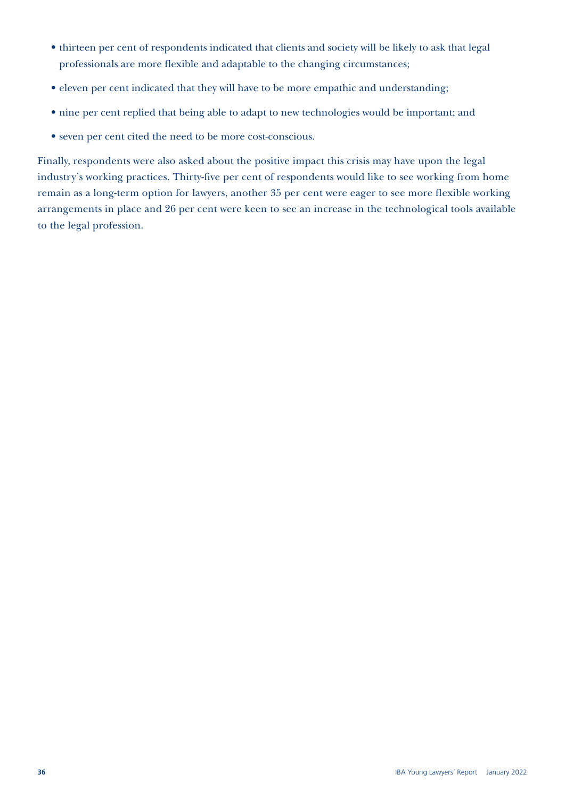- thirteen per cent of respondents indicated that clients and society will be likely to ask that legal professionals are more flexible and adaptable to the changing circumstances;
- eleven per cent indicated that they will have to be more empathic and understanding;
- nine per cent replied that being able to adapt to new technologies would be important; and
- seven per cent cited the need to be more cost-conscious.

Finally, respondents were also asked about the positive impact this crisis may have upon the legal industry's working practices. Thirty-five per cent of respondents would like to see working from home remain as a long-term option for lawyers, another 35 per cent were eager to see more flexible working arrangements in place and 26 per cent were keen to see an increase in the technological tools available to the legal profession.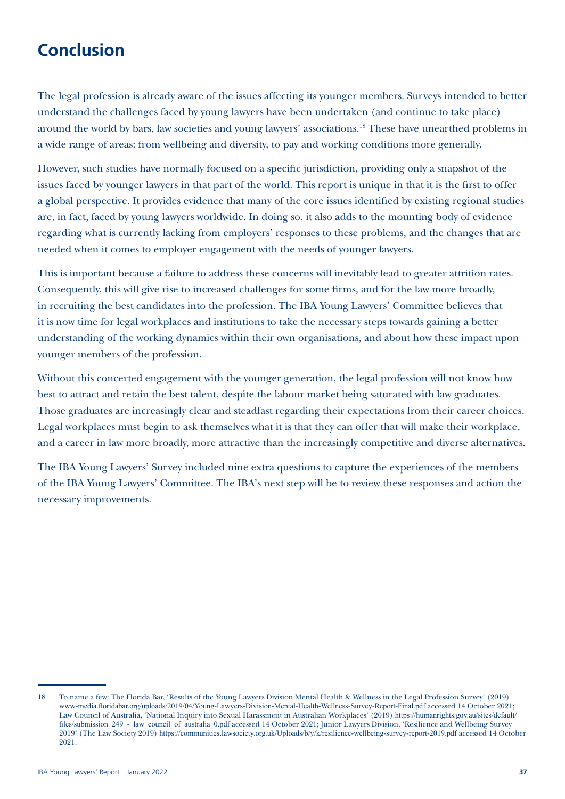# **Conclusion**

The legal profession is already aware of the issues affecting its younger members. Surveys intended to better understand the challenges faced by young lawyers have been undertaken (and continue to take place) around the world by bars, law societies and young lawyers' associations.18 These have unearthed problems in a wide range of areas: from wellbeing and diversity, to pay and working conditions more generally.

However, such studies have normally focused on a specific jurisdiction, providing only a snapshot of the issues faced by younger lawyers in that part of the world. This report is unique in that it is the first to offer a global perspective. It provides evidence that many of the core issues identified by existing regional studies are, in fact, faced by young lawyers worldwide. In doing so, it also adds to the mounting body of evidence regarding what is currently lacking from employers' responses to these problems, and the changes that are needed when it comes to employer engagement with the needs of younger lawyers.

This is important because a failure to address these concerns will inevitably lead to greater attrition rates. Consequently, this will give rise to increased challenges for some firms, and for the law more broadly, in recruiting the best candidates into the profession. The IBA Young Lawyers' Committee believes that it is now time for legal workplaces and institutions to take the necessary steps towards gaining a better understanding of the working dynamics within their own organisations, and about how these impact upon younger members of the profession.

Without this concerted engagement with the younger generation, the legal profession will not know how best to attract and retain the best talent, despite the labour market being saturated with law graduates. Those graduates are increasingly clear and steadfast regarding their expectations from their career choices. Legal workplaces must begin to ask themselves what it is that they can offer that will make their workplace, and a career in law more broadly, more attractive than the increasingly competitive and diverse alternatives.

The IBA Young Lawyers' Survey included nine extra questions to capture the experiences of the members of the IBA Young Lawyers' Committee. The IBA's next step will be to review these responses and action the necessary improvements.

<sup>18</sup> To name a few: The Florida Bar, 'Results of the Young Lawyers Division Mental Health & Wellness in the Legal Profession Survey' (2019) [www-media.floridabar.org/uploads/2019/04/Young-Lawyers-Division-Mental-Health-Wellness-Survey-Report-Final.pdf](https://www-media.floridabar.org/uploads/2019/04/Young-Lawyers-Division-Mental-Health-Wellness-Survey-Report-Final.pdf) accessed 14 October 2021; Law Council of Australia, 'National Inquiry into Sexual Harassment in Australian Workplaces' (2019) [https://humanrights.gov.au/sites/default/](https://humanrights.gov.au/sites/default/files/submission_249_-_law_council_of_australia_0.pdf) files/submission 249 - law council of australia 0.pdf accessed 14 October 2021; Junior Lawyers Division, 'Resilience and Wellbeing Survey 2019' (The Law Society 2019) <https://communities.lawsociety.org.uk/Uploads/b/y/k/resilience-wellbeing-survey-report-2019.pdf> accessed 14 October 2021.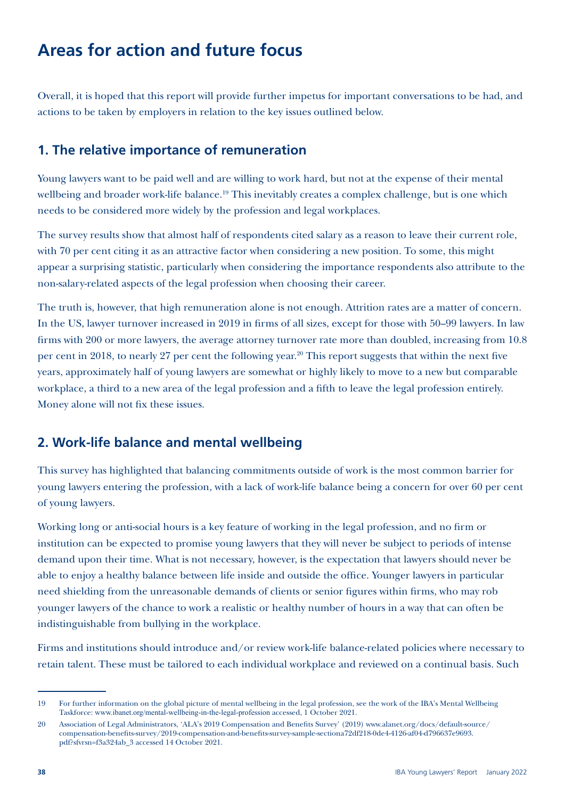# **Areas for action and future focus**

Overall, it is hoped that this report will provide further impetus for important conversations to be had, and actions to be taken by employers in relation to the key issues outlined below.

### **1. The relative importance of remuneration**

Young lawyers want to be paid well and are willing to work hard, but not at the expense of their mental wellbeing and broader work-life balance.<sup>19</sup> This inevitably creates a complex challenge, but is one which needs to be considered more widely by the profession and legal workplaces.

The survey results show that almost half of respondents cited salary as a reason to leave their current role, with 70 per cent citing it as an attractive factor when considering a new position. To some, this might appear a surprising statistic, particularly when considering the importance respondents also attribute to the non-salary-related aspects of the legal profession when choosing their career.

The truth is, however, that high remuneration alone is not enough. Attrition rates are a matter of concern. In the US, lawyer turnover increased in 2019 in firms of all sizes, except for those with 50–99 lawyers. In law firms with 200 or more lawyers, the average attorney turnover rate more than doubled, increasing from 10.8 per cent in 2018, to nearly 27 per cent the following year.<sup>20</sup> This report suggests that within the next five years, approximately half of young lawyers are somewhat or highly likely to move to a new but comparable workplace, a third to a new area of the legal profession and a fifth to leave the legal profession entirely. Money alone will not fix these issues.

### **2. Work-life balance and mental wellbeing**

This survey has highlighted that balancing commitments outside of work is the most common barrier for young lawyers entering the profession, with a lack of work-life balance being a concern for over 60 per cent of young lawyers.

Working long or anti-social hours is a key feature of working in the legal profession, and no firm or institution can be expected to promise young lawyers that they will never be subject to periods of intense demand upon their time. What is not necessary, however, is the expectation that lawyers should never be able to enjoy a healthy balance between life inside and outside the office. Younger lawyers in particular need shielding from the unreasonable demands of clients or senior figures within firms, who may rob younger lawyers of the chance to work a realistic or healthy number of hours in a way that can often be indistinguishable from bullying in the workplace.

Firms and institutions should introduce and/or review work-life balance-related policies where necessary to retain talent. These must be tailored to each individual workplace and reviewed on a continual basis. Such

<sup>19</sup> For further information on the global picture of mental wellbeing in the legal profession, see the work of the IBA's Mental Wellbeing Taskforce: [www.ibanet.org/mental-wellbeing-in-the-legal-profession](https://www.ibanet.org/Mental-wellbeing-in-the-legal-profession) accessed, 1 October 2021.

<sup>20</sup> Association of Legal Administrators, 'ALA's 2019 Compensation and Benefits Survey' (2019) [www.alanet.org/docs/default-source/](https://www.alanet.org/docs/default-source/compensation-benefits-survey/2019-compensation-and-benefits-survey-sample-sectiona72df218-0de4-4126-af04-d796637e9693.pdf?sfvrsn=f3a324ab_3) [compensation-benefits-survey/2019-compensation-and-benefits-survey-sample-sectiona72df218-0de4-4126-af04-d796637e9693.](https://www.alanet.org/docs/default-source/compensation-benefits-survey/2019-compensation-and-benefits-survey-sample-sectiona72df218-0de4-4126-af04-d796637e9693.pdf?sfvrsn=f3a324ab_3) [pdf?sfvrsn=f3a324ab\\_3](https://www.alanet.org/docs/default-source/compensation-benefits-survey/2019-compensation-and-benefits-survey-sample-sectiona72df218-0de4-4126-af04-d796637e9693.pdf?sfvrsn=f3a324ab_3) accessed 14 October 2021.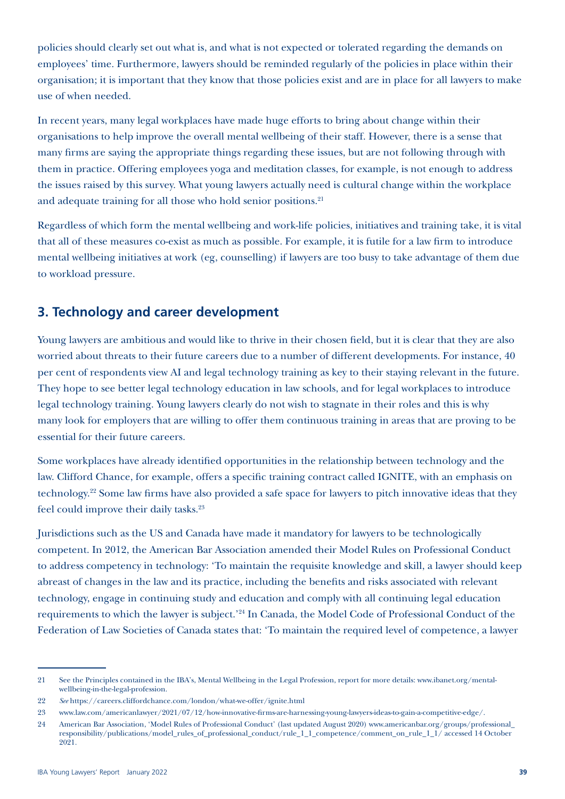policies should clearly set out what is, and what is not expected or tolerated regarding the demands on employees' time. Furthermore, lawyers should be reminded regularly of the policies in place within their organisation; it is important that they know that those policies exist and are in place for all lawyers to make use of when needed.

In recent years, many legal workplaces have made huge efforts to bring about change within their organisations to help improve the overall mental wellbeing of their staff. However, there is a sense that many firms are saying the appropriate things regarding these issues, but are not following through with them in practice. Offering employees yoga and meditation classes, for example, is not enough to address the issues raised by this survey. What young lawyers actually need is cultural change within the workplace and adequate training for all those who hold senior positions.<sup>21</sup>

Regardless of which form the mental wellbeing and work-life policies, initiatives and training take, it is vital that all of these measures co-exist as much as possible. For example, it is futile for a law firm to introduce mental wellbeing initiatives at work (eg, counselling) if lawyers are too busy to take advantage of them due to workload pressure.

### **3. Technology and career development**

Young lawyers are ambitious and would like to thrive in their chosen field, but it is clear that they are also worried about threats to their future careers due to a number of different developments. For instance, 40 per cent of respondents view AI and legal technology training as key to their staying relevant in the future. They hope to see better legal technology education in law schools, and for legal workplaces to introduce legal technology training. Young lawyers clearly do not wish to stagnate in their roles and this is why many look for employers that are willing to offer them continuous training in areas that are proving to be essential for their future careers.

Some workplaces have already identified opportunities in the relationship between technology and the law. Clifford Chance, for example, offers a specific training contract called IGNITE, with an emphasis on technology.22 Some law firms have also provided a safe space for lawyers to pitch innovative ideas that they feel could improve their daily tasks.<sup>23</sup>

Jurisdictions such as the US and Canada have made it mandatory for lawyers to be technologically competent. In 2012, the American Bar Association amended their Model Rules on Professional Conduct to address competency in technology: 'To maintain the requisite knowledge and skill, a lawyer should keep abreast of changes in the law and its practice, including the benefits and risks associated with relevant technology, engage in continuing study and education and comply with all continuing legal education requirements to which the lawyer is subject.'24 In Canada, the Model Code of Professional Conduct of the Federation of Law Societies of Canada states that: 'To maintain the required level of competence, a lawyer

<sup>21</sup> See the Principles contained in the IBA's, Mental Wellbeing in the Legal Profession, report for more details: [www.ibanet.org/mental](https://www.ibanet.org/Mental-wellbeing-in-the-legal-profession)[wellbeing-in-the-legal-profession](https://www.ibanet.org/Mental-wellbeing-in-the-legal-profession).

<sup>22</sup> *See* <https://careers.cliffordchance.com/london/what-we-offer/ignite.html>

<sup>23</sup> [www.law.com/americanlawyer/2021/07/12/how-innovative-firms-are-harnessing-young-lawyers-ideas-to-gain-a-competitive-edge/](http://www.law.com/americanlawyer/2021/07/12/how-innovative-firms-are-harnessing-young-lawyers-ideas-to-gain-a-competitive-edge/).

<sup>24</sup> American Bar Association, 'Model Rules of Professional Conduct' (last updated August 2020) [www.americanbar.org/groups/professional\\_](http://www.americanbar.org/groups/professional_responsibility/publications/model_rules_of_professional_conduct/rule_1_1_competence/comment_on_rule_1_1/) [responsibility/publications/model\\_rules\\_of\\_professional\\_conduct/rule\\_1\\_1\\_competence/comment\\_on\\_rule\\_1\\_1/](http://www.americanbar.org/groups/professional_responsibility/publications/model_rules_of_professional_conduct/rule_1_1_competence/comment_on_rule_1_1/) accessed 14 October 2021.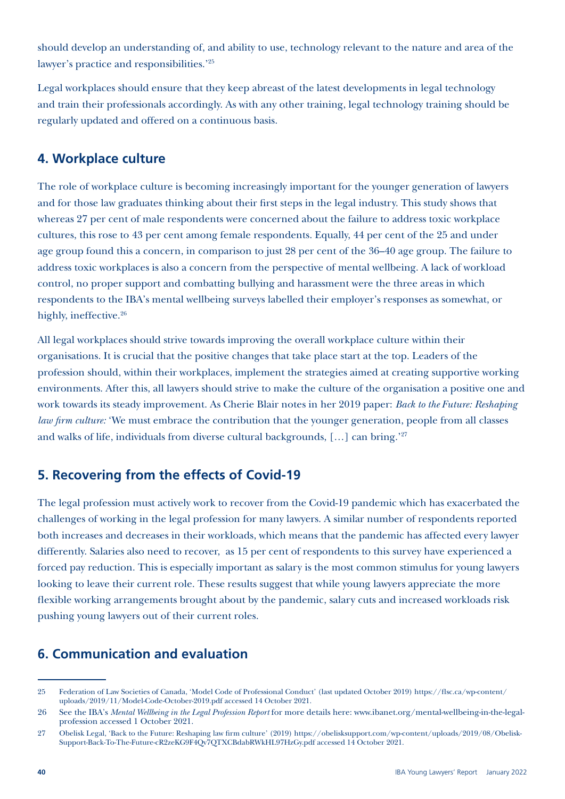should develop an understanding of, and ability to use, technology relevant to the nature and area of the lawyer's practice and responsibilities.'25

Legal workplaces should ensure that they keep abreast of the latest developments in legal technology and train their professionals accordingly. As with any other training, legal technology training should be regularly updated and offered on a continuous basis.

### **4. Workplace culture**

The role of workplace culture is becoming increasingly important for the younger generation of lawyers and for those law graduates thinking about their first steps in the legal industry. This study shows that whereas 27 per cent of male respondents were concerned about the failure to address toxic workplace cultures, this rose to 43 per cent among female respondents. Equally, 44 per cent of the 25 and under age group found this a concern, in comparison to just 28 per cent of the 36–40 age group. The failure to address toxic workplaces is also a concern from the perspective of mental wellbeing. A lack of workload control, no proper support and combatting bullying and harassment were the three areas in which respondents to the IBA's mental wellbeing surveys labelled their employer's responses as somewhat, or highly, ineffective.<sup>26</sup>

All legal workplaces should strive towards improving the overall workplace culture within their organisations. It is crucial that the positive changes that take place start at the top. Leaders of the profession should, within their workplaces, implement the strategies aimed at creating supportive working environments. After this, all lawyers should strive to make the culture of the organisation a positive one and work towards its steady improvement. As Cherie Blair notes in her 2019 paper: *Back to the Future: Reshaping law firm culture:* 'We must embrace the contribution that the younger generation, people from all classes and walks of life, individuals from diverse cultural backgrounds, [...] can bring.'27

### **5. Recovering from the effects of Covid-19**

The legal profession must actively work to recover from the Covid-19 pandemic which has exacerbated the challenges of working in the legal profession for many lawyers. A similar number of respondents reported both increases and decreases in their workloads, which means that the pandemic has affected every lawyer differently. Salaries also need to recover, as 15 per cent of respondents to this survey have experienced a forced pay reduction. This is especially important as salary is the most common stimulus for young lawyers looking to leave their current role. These results suggest that while young lawyers appreciate the more flexible working arrangements brought about by the pandemic, salary cuts and increased workloads risk pushing young lawyers out of their current roles.

### **6. Communication and evaluation**

<sup>25</sup> Federation of Law Societies of Canada, 'Model Code of Professional Conduct' (last updated October 2019) [https://flsc.ca/wp-content/](https://flsc.ca/wp-content/uploads/2019/11/Model-Code-October-2019.pdf) [uploads/2019/11/Model-Code-October-2019.pdf](https://flsc.ca/wp-content/uploads/2019/11/Model-Code-October-2019.pdf) accessed 14 October 2021.

<sup>26</sup> See the IBA's *Mental Wellbeing in the Legal Profession Report* for more details here: [www.ibanet.org/mental-wellbeing-in-the-legal](https://www.ibanet.org/Mental-wellbeing-in-the-legal-profession)[profession](https://www.ibanet.org/Mental-wellbeing-in-the-legal-profession) accessed 1 October 2021.

<sup>27</sup> Obelisk Legal, 'Back to the Future: Reshaping law firm culture' (2019) [https://obelisksupport.com/wp-content/uploads/2019/08/Obelisk-](https://obelisksupport.com/wp-content/uploads/2019/08/Obelisk-Support-Back-To-The-Future-cR2zeKG9F4Qv7QTXCBdabRWkHL97HzGy.pdf)[Support-Back-To-The-Future-cR2zeKG9F4Qv7QTXCBdabRWkHL97HzGy.pdf](https://obelisksupport.com/wp-content/uploads/2019/08/Obelisk-Support-Back-To-The-Future-cR2zeKG9F4Qv7QTXCBdabRWkHL97HzGy.pdf) accessed 14 October 2021.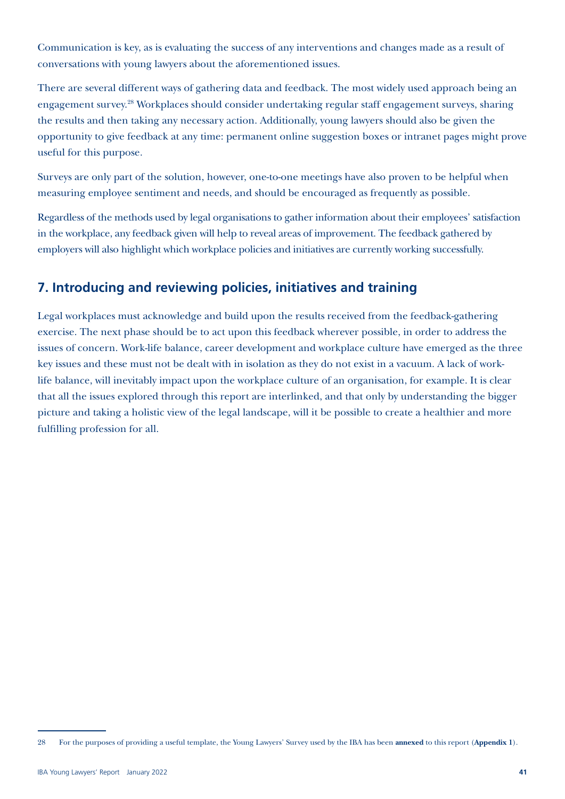Communication is key, as is evaluating the success of any interventions and changes made as a result of conversations with young lawyers about the aforementioned issues.

There are several different ways of gathering data and feedback. The most widely used approach being an engagement survey.28 Workplaces should consider undertaking regular staff engagement surveys, sharing the results and then taking any necessary action. Additionally, young lawyers should also be given the opportunity to give feedback at any time: permanent online suggestion boxes or intranet pages might prove useful for this purpose.

Surveys are only part of the solution, however, one-to-one meetings have also proven to be helpful when measuring employee sentiment and needs, and should be encouraged as frequently as possible.

Regardless of the methods used by legal organisations to gather information about their employees' satisfaction in the workplace, any feedback given will help to reveal areas of improvement. The feedback gathered by employers will also highlight which workplace policies and initiatives are currently working successfully.

### **7. Introducing and reviewing policies, initiatives and training**

Legal workplaces must acknowledge and build upon the results received from the feedback-gathering exercise. The next phase should be to act upon this feedback wherever possible, in order to address the issues of concern. Work-life balance, career development and workplace culture have emerged as the three key issues and these must not be dealt with in isolation as they do not exist in a vacuum. A lack of worklife balance, will inevitably impact upon the workplace culture of an organisation, for example. It is clear that all the issues explored through this report are interlinked, and that only by understanding the bigger picture and taking a holistic view of the legal landscape, will it be possible to create a healthier and more fulfilling profession for all.

<sup>28</sup> For the purposes of providing a useful template, the Young Lawyers' Survey used by the IBA has been **annexed** to this report (**Appendix 1**).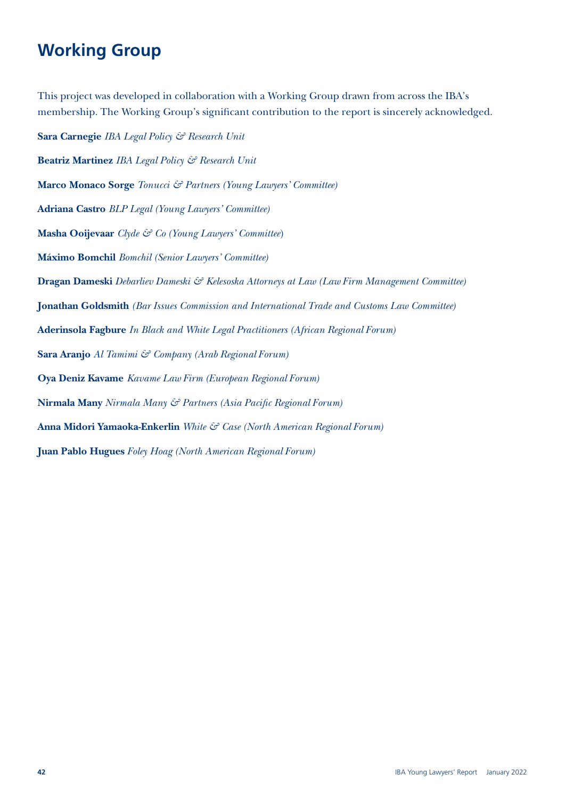# **Working Group**

This project was developed in collaboration with a Working Group drawn from across the IBA's membership. The Working Group's significant contribution to the report is sincerely acknowledged.

**Sara Carnegie** *IBA Legal Policy & Research Unit* **Beatriz Martinez** *IBA Legal Policy & Research Unit* **Marco Monaco Sorge** *Tonucci & Partners (Young Lawyers' Committee)* **Adriana Castro** *BLP Legal (Young Lawyers' Committee)* **Masha Ooijevaar** *Clyde & Co (Young Lawyers' Committee*) **Máximo Bomchil** *Bomchil (Senior Lawyers' Committee)* **Dragan Dameski** *Debarliev Dameski & Kelesoska Attorneys at Law (Law Firm Management Committee)* **Jonathan Goldsmith** *(Bar Issues Commission and International Trade and Customs Law Committee)* **Aderinsola Fagbure** *In Black and White Legal Practitioners (African Regional Forum)* **Sara Aranjo** *Al Tamimi & Company (Arab Regional Forum)* **Oya Deniz Kavame** *Kavame Law Firm (European Regional Forum)* **Nirmala Many** *Nirmala Many & Partners (Asia Pacific Regional Forum)* **Anna Midori Yamaoka-Enkerlin** *White & Case (North American Regional Forum)* **Juan Pablo Hugues** *Foley Hoag (North American Regional Forum)*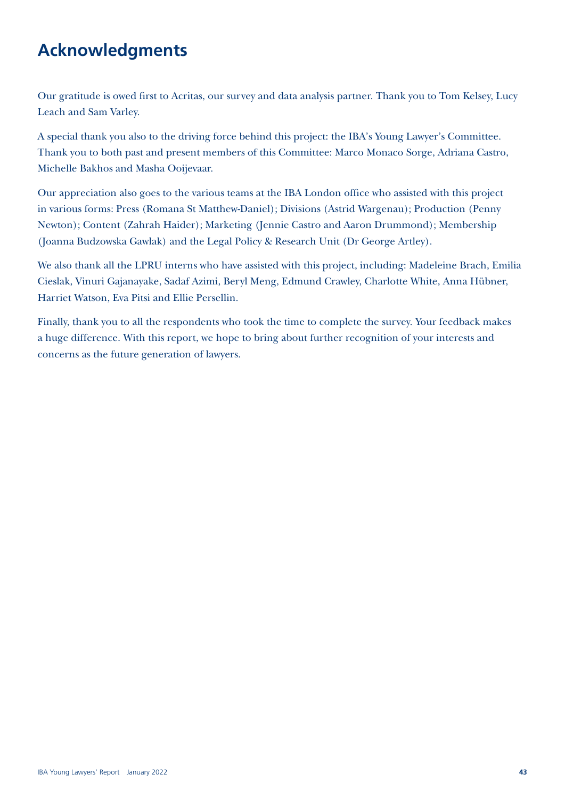# **Acknowledgments**

Our gratitude is owed first to Acritas, our survey and data analysis partner. Thank you to Tom Kelsey, Lucy Leach and Sam Varley.

A special thank you also to the driving force behind this project: the IBA's Young Lawyer's Committee. Thank you to both past and present members of this Committee: Marco Monaco Sorge, Adriana Castro, Michelle Bakhos and Masha Ooijevaar.

Our appreciation also goes to the various teams at the IBA London office who assisted with this project in various forms: Press (Romana St Matthew-Daniel); Divisions (Astrid Wargenau); Production (Penny Newton); Content (Zahrah Haider); Marketing (Jennie Castro and Aaron Drummond); Membership (Joanna Budzowska Gawlak) and the Legal Policy & Research Unit (Dr George Artley).

We also thank all the LPRU interns who have assisted with this project, including: Madeleine Brach, Emilia Cieslak, Vinuri Gajanayake, Sadaf Azimi, Beryl Meng, Edmund Crawley, Charlotte White, Anna Hübner, Harriet Watson, Eva Pitsi and Ellie Persellin.

Finally, thank you to all the respondents who took the time to complete the survey. Your feedback makes a huge difference. With this report, we hope to bring about further recognition of your interests and concerns as the future generation of lawyers.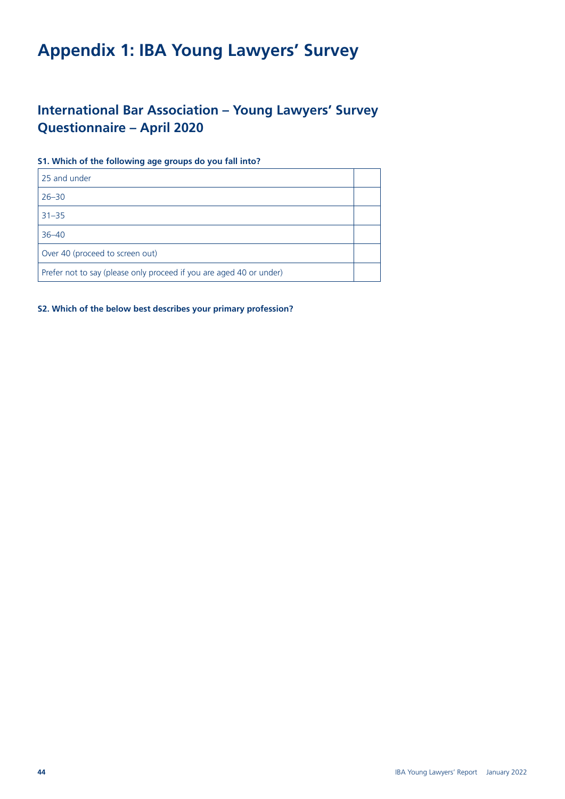# **Appendix 1: IBA Young Lawyers' Survey**

### **International Bar Association – Young Lawyers' Survey Questionnaire – April 2020**

#### **S1. Which of the following age groups do you fall into?**

| 25 and under                                                        |  |
|---------------------------------------------------------------------|--|
| $26 - 30$                                                           |  |
| $31 - 35$                                                           |  |
| $36 - 40$                                                           |  |
| Over 40 (proceed to screen out)                                     |  |
| Prefer not to say (please only proceed if you are aged 40 or under) |  |

#### **S2. Which of the below best describes your primary profession?**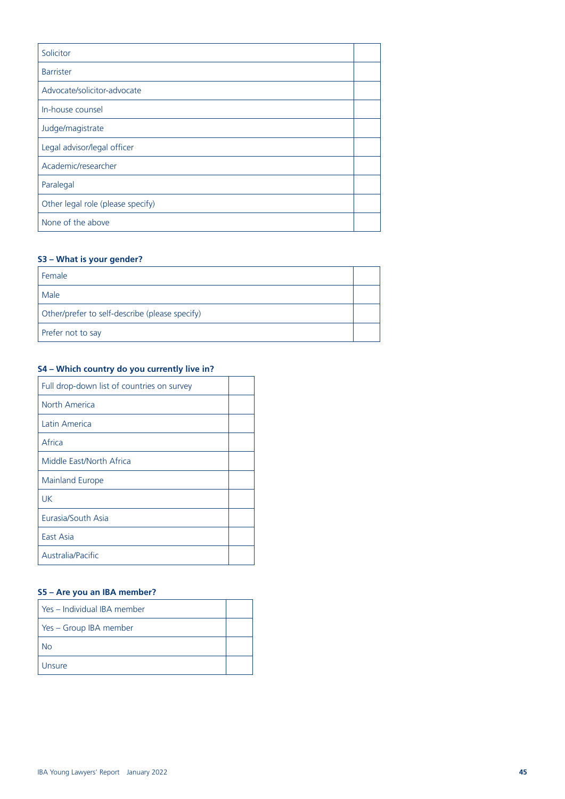| Solicitor                         |  |
|-----------------------------------|--|
| <b>Barrister</b>                  |  |
| Advocate/solicitor-advocate       |  |
| In-house counsel                  |  |
| Judge/magistrate                  |  |
| Legal advisor/legal officer       |  |
| Academic/researcher               |  |
| Paralegal                         |  |
| Other legal role (please specify) |  |
| None of the above                 |  |

#### **S3 – What is your gender?**

| Female                                         |  |
|------------------------------------------------|--|
| Male                                           |  |
| Other/prefer to self-describe (please specify) |  |
| Prefer not to say                              |  |

#### **S4 – Which country do you currently live in?**

| Full drop-down list of countries on survey |  |
|--------------------------------------------|--|
| North America                              |  |
| Latin America                              |  |
| Africa                                     |  |
| Middle East/North Africa                   |  |
| Mainland Europe                            |  |
| UK                                         |  |
| Eurasia/South Asia                         |  |
| East Asia                                  |  |
| Australia/Pacific                          |  |

#### **S5 – Are you an IBA member?**

| l Yes – Individual IBA member |  |
|-------------------------------|--|
| Yes - Group IBA member        |  |
| Nο                            |  |
| Unsure                        |  |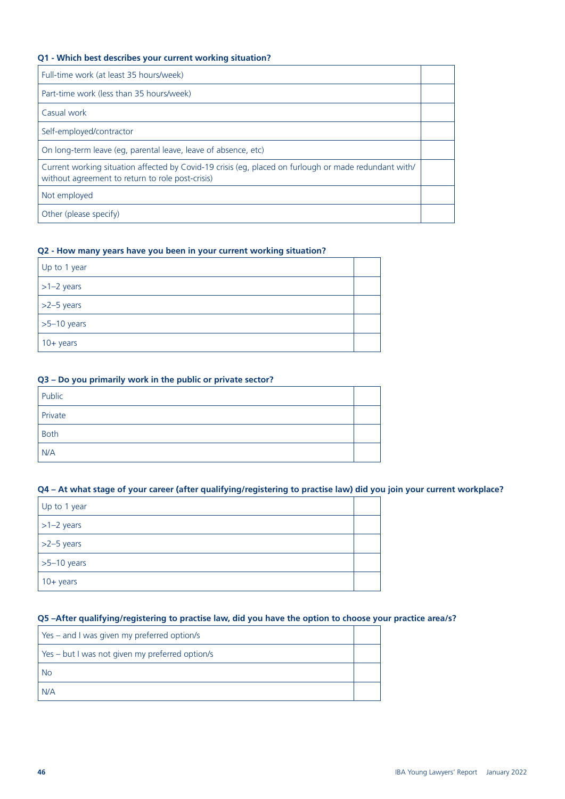#### **Q1 - Which best describes your current working situation?**

| Full-time work (at least 35 hours/week)                                                                                                                   |  |
|-----------------------------------------------------------------------------------------------------------------------------------------------------------|--|
| Part-time work (less than 35 hours/week)                                                                                                                  |  |
| Casual work                                                                                                                                               |  |
| Self-employed/contractor                                                                                                                                  |  |
| On long-term leave (eg. parental leave, leave of absence, etc)                                                                                            |  |
| Current working situation affected by Covid-19 crisis (eg, placed on furlough or made redundant with/<br>without agreement to return to role post-crisis) |  |
| Not employed                                                                                                                                              |  |
| Other (please specify)                                                                                                                                    |  |

#### **Q2 - How many years have you been in your current working situation?**

| Up to 1 year        |  |
|---------------------|--|
| $ >1-2$ years       |  |
| $\vert$ >2-5 years  |  |
| $\vert$ >5-10 years |  |
| $10 + years$        |  |

#### **Q3 – Do you primarily work in the public or private sector?**

| Public      |  |
|-------------|--|
| Private     |  |
| <b>Both</b> |  |
| N/A         |  |

#### **Q4 – At what stage of your career (after qualifying/registering to practise law) did you join your current workplace?**

| Up to 1 year        |  |
|---------------------|--|
| $\vert$ >1-2 years  |  |
| $\vert$ >2-5 years  |  |
| $\vert$ >5-10 years |  |
| $10+ years$         |  |

#### **Q5 –After qualifying/registering to practise law, did you have the option to choose your practice area/s?**

| Yes – and I was given my preferred option/s     |  |
|-------------------------------------------------|--|
| Yes - but I was not given my preferred option/s |  |
| No                                              |  |
| N/A                                             |  |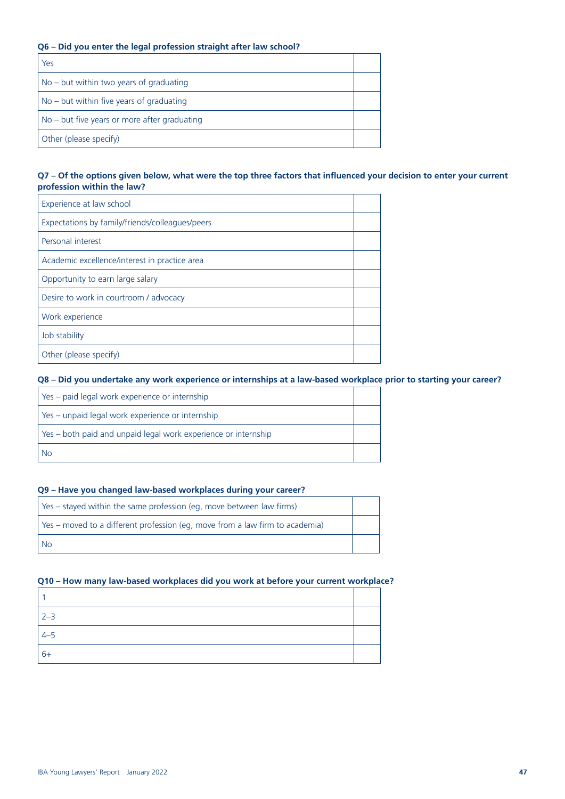#### **Q6 – Did you enter the legal profession straight after law school?**

| Yes                                          |  |
|----------------------------------------------|--|
| $No$ – but within two years of graduating    |  |
| $No$ – but within five years of graduating   |  |
| No – but five years or more after graduating |  |
| Other (please specify)                       |  |

#### **Q7 – Of the options given below, what were the top three factors that influenced your decision to enter your current profession within the law?**

| Experience at law school                        |  |
|-------------------------------------------------|--|
| Expectations by family/friends/colleagues/peers |  |
| Personal interest                               |  |
| Academic excellence/interest in practice area   |  |
| Opportunity to earn large salary                |  |
| Desire to work in courtroom / advocacy          |  |
| Work experience                                 |  |
| Job stability                                   |  |
| Other (please specify)                          |  |

#### **Q8 – Did you undertake any work experience or internships at a law-based workplace prior to starting your career?**

| Yes – paid legal work experience or internship                   |  |
|------------------------------------------------------------------|--|
| Yes – unpaid legal work experience or internship                 |  |
| l Yes – both paid and unpaid legal work experience or internship |  |
| <b>No</b>                                                        |  |

#### **Q9 – Have you changed law-based workplaces during your career?**

| Yes – stayed within the same profession (eq, move between law firms)         |  |
|------------------------------------------------------------------------------|--|
| Yes – moved to a different profession (eq, move from a law firm to academia) |  |
| <b>No</b>                                                                    |  |

#### **Q10 – How many law-based workplaces did you work at before your current workplace?**

| $2 - 3$ |  |
|---------|--|
| $4 - 5$ |  |
| $6+$    |  |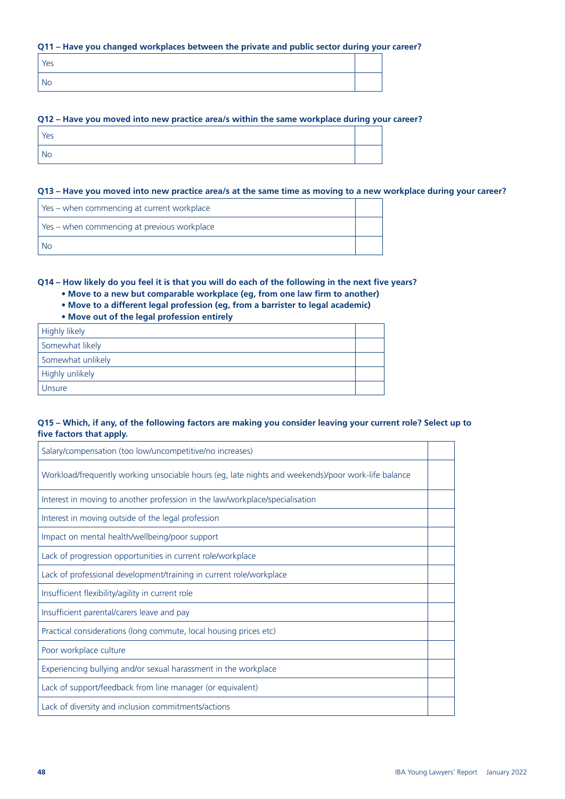#### **Q11 – Have you changed workplaces between the private and public sector during your career?**

| Yes |  |
|-----|--|
| No  |  |

#### **Q12 – Have you moved into new practice area/s within the same workplace during your career?**

| Yes       |  |
|-----------|--|
| <b>No</b> |  |

#### **Q13 – Have you moved into new practice area/s at the same time as moving to a new workplace during your career?**

| Yes - when commencing at current workplace  |  |
|---------------------------------------------|--|
| Yes - when commencing at previous workplace |  |
| -No                                         |  |

**Q14 – How likely do you feel it is that you will do each of the following in the next five years?**

- **Move to a new but comparable workplace (eg, from one law firm to another)**
- **Move to a different legal profession (eg, from a barrister to legal academic)**
- **Move out of the legal profession entirely**

| Highly likely     |  |
|-------------------|--|
| Somewhat likely   |  |
| Somewhat unlikely |  |
| Highly unlikely   |  |
| Unsure            |  |

#### **Q15 – Which, if any, of the following factors are making you consider leaving your current role? Select up to five factors that apply.**

| Salary/compensation (too low/uncompetitive/no increases)                                           |  |
|----------------------------------------------------------------------------------------------------|--|
| Workload/frequently working unsociable hours (eg, late nights and weekends)/poor work-life balance |  |
| Interest in moving to another profession in the law/workplace/specialisation                       |  |
| Interest in moving outside of the legal profession                                                 |  |
| Impact on mental health/wellbeing/poor support                                                     |  |
| Lack of progression opportunities in current role/workplace                                        |  |
| Lack of professional development/training in current role/workplace                                |  |
| Insufficient flexibility/agility in current role                                                   |  |
| Insufficient parental/carers leave and pay                                                         |  |
| Practical considerations (long commute, local housing prices etc)                                  |  |
| Poor workplace culture                                                                             |  |
| Experiencing bullying and/or sexual harassment in the workplace                                    |  |
| Lack of support/feedback from line manager (or equivalent)                                         |  |
| Lack of diversity and inclusion commitments/actions                                                |  |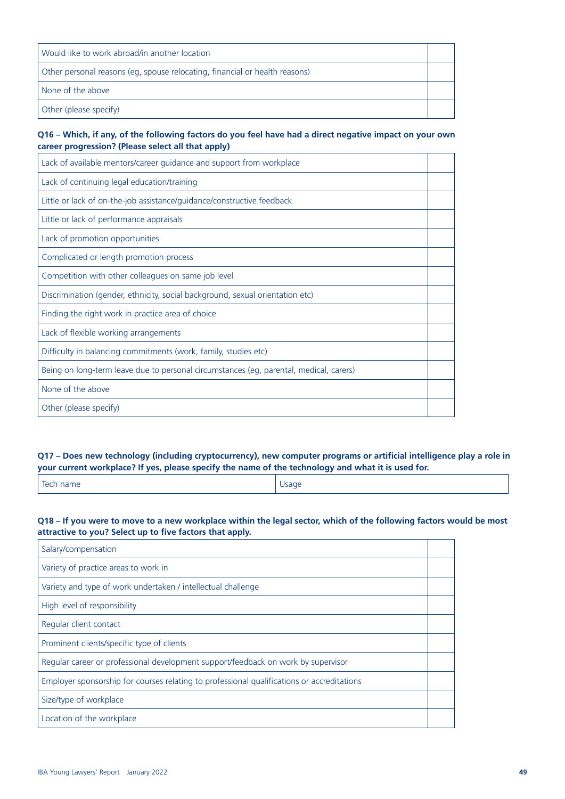| Would like to work abroad/in another location                               |  |
|-----------------------------------------------------------------------------|--|
| Other personal reasons (eg, spouse relocating, financial or health reasons) |  |
| None of the above                                                           |  |
| Other (please specify)                                                      |  |

#### **Q16 – Which, if any, of the following factors do you feel have had a direct negative impact on your own career progression? (Please select all that apply)**

| Lack of available mentors/career guidance and support from workplace                   |  |
|----------------------------------------------------------------------------------------|--|
| Lack of continuing legal education/training                                            |  |
| Little or lack of on-the-job assistance/guidance/constructive feedback                 |  |
| Little or lack of performance appraisals                                               |  |
| Lack of promotion opportunities                                                        |  |
| Complicated or length promotion process                                                |  |
| Competition with other colleagues on same job level                                    |  |
| Discrimination (gender, ethnicity, social background, sexual orientation etc)          |  |
| Finding the right work in practice area of choice                                      |  |
| Lack of flexible working arrangements                                                  |  |
| Difficulty in balancing commitments (work, family, studies etc)                        |  |
| Being on long-term leave due to personal circumstances (eg, parental, medical, carers) |  |
| None of the above                                                                      |  |
| Other (please specify)                                                                 |  |

#### **Q17 – Does new technology (including cryptocurrency), new computer programs or artificial intelligence play a role in your current workplace? If yes, please specify the name of the technology and what it is used for.**

| Tech name | Usage |
|-----------|-------|
|-----------|-------|

#### **Q18 – If you were to move to a new workplace within the legal sector, which of the following factors would be most attractive to you? Select up to five factors that apply.**

| Salary/compensation                                                                        |  |
|--------------------------------------------------------------------------------------------|--|
| Variety of practice areas to work in                                                       |  |
| Variety and type of work undertaken / intellectual challenge                               |  |
| High level of responsibility                                                               |  |
| Regular client contact                                                                     |  |
| Prominent clients/specific type of clients                                                 |  |
| Regular career or professional development support/feedback on work by supervisor          |  |
| Employer sponsorship for courses relating to professional qualifications or accreditations |  |
| Size/type of workplace                                                                     |  |
| Location of the workplace                                                                  |  |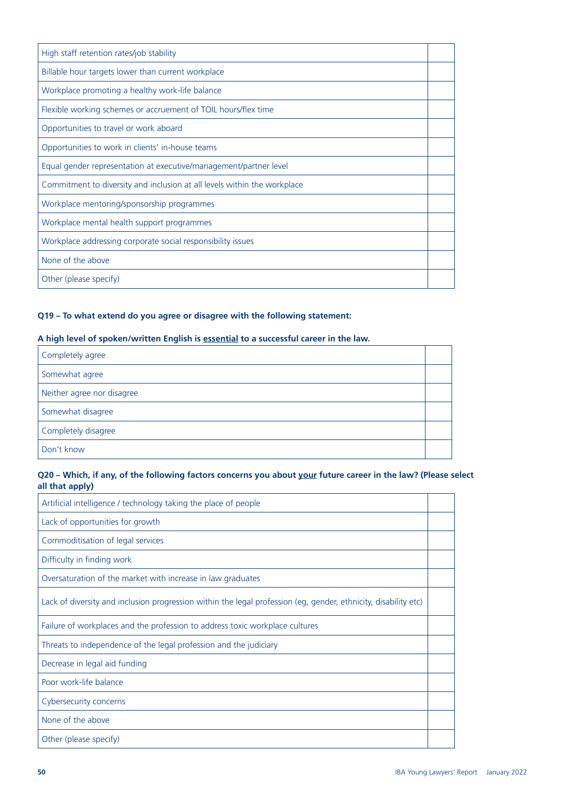| High staff retention rates/job stability                                 |  |
|--------------------------------------------------------------------------|--|
| Billable hour targets lower than current workplace                       |  |
| Workplace promoting a healthy work-life balance                          |  |
| Flexible working schemes or accruement of TOIL hours/flex time           |  |
| Opportunities to travel or work aboard                                   |  |
| Opportunities to work in clients' in-house teams                         |  |
| Equal gender representation at executive/management/partner level        |  |
| Commitment to diversity and inclusion at all levels within the workplace |  |
| Workplace mentoring/sponsorship programmes                               |  |
| Workplace mental health support programmes                               |  |
| Workplace addressing corporate social responsibility issues              |  |
| None of the above                                                        |  |
| Other (please specify)                                                   |  |

#### **Q19 – To what extend do you agree or disagree with the following statement:**

#### **A high level of spoken/written English is essential to a successful career in the law.**

| Completely agree           |  |
|----------------------------|--|
| Somewhat agree             |  |
| Neither agree nor disagree |  |
| Somewhat disagree          |  |
| Completely disagree        |  |
| Don't know                 |  |

#### **Q20 – Which, if any, of the following factors concerns you about your future career in the law? (Please select all that apply)**

| Artificial intelligence / technology taking the place of people                                                 |  |
|-----------------------------------------------------------------------------------------------------------------|--|
| Lack of opportunities for growth                                                                                |  |
| Commoditisation of legal services                                                                               |  |
| Difficulty in finding work                                                                                      |  |
| Oversaturation of the market with increase in law graduates                                                     |  |
| Lack of diversity and inclusion progression within the legal profession (eg, gender, ethnicity, disability etc) |  |
| Failure of workplaces and the profession to address toxic workplace cultures                                    |  |
| Threats to independence of the legal profession and the judiciary                                               |  |
| Decrease in legal aid funding                                                                                   |  |
| Poor work-life balance                                                                                          |  |
| Cybersecurity concerns                                                                                          |  |
| None of the above                                                                                               |  |
| Other (please specify)                                                                                          |  |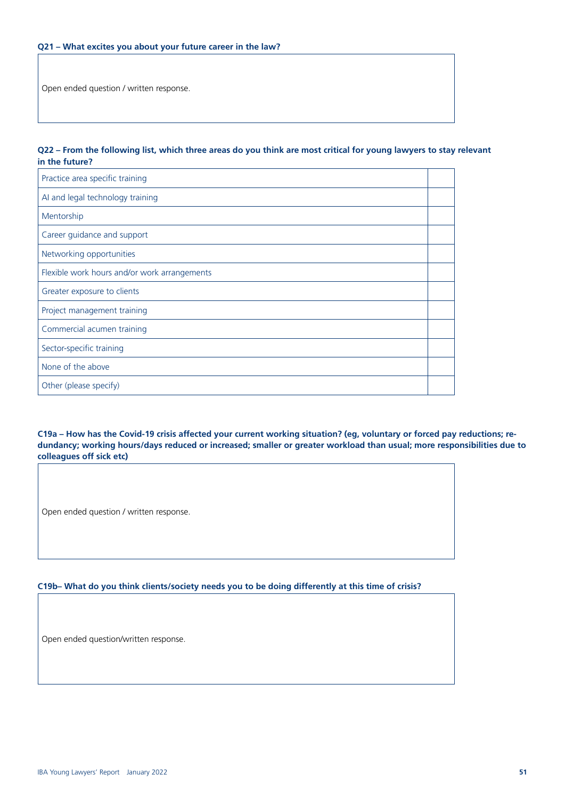Open ended question / written response.

#### **Q22 – From the following list, which three areas do you think are most critical for young lawyers to stay relevant in the future?**

| Practice area specific training              |  |
|----------------------------------------------|--|
| AI and legal technology training             |  |
| Mentorship                                   |  |
| Career guidance and support                  |  |
| Networking opportunities                     |  |
| Flexible work hours and/or work arrangements |  |
| Greater exposure to clients                  |  |
| Project management training                  |  |
| Commercial acumen training                   |  |
| Sector-specific training                     |  |
| None of the above                            |  |
| Other (please specify)                       |  |

**C19a – How has the Covid-19 crisis affected your current working situation? (eg, voluntary or forced pay reductions; redundancy; working hours/days reduced or increased; smaller or greater workload than usual; more responsibilities due to colleagues off sick etc)** 

Open ended question / written response.

#### **C19b– What do you think clients/society needs you to be doing differently at this time of crisis?**

Open ended question/written response.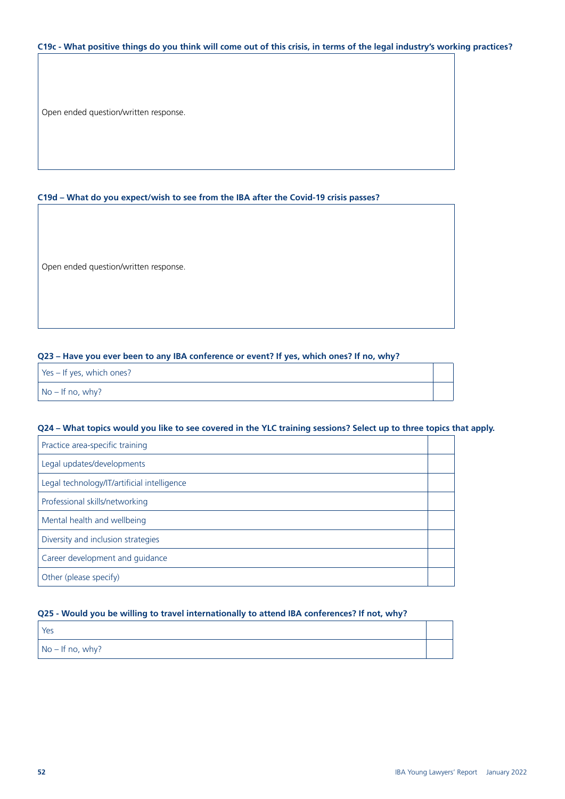#### **C19c - What positive things do you think will come out of this crisis, in terms of the legal industry's working practices?**

Open ended question/written response.

#### **C19d – What do you expect/wish to see from the IBA after the Covid-19 crisis passes?**

Open ended question/written response.

#### **Q23 – Have you ever been to any IBA conference or event? If yes, which ones? If no, why?**

| Yes - If yes, which ones? |  |
|---------------------------|--|
| No – If no, why?          |  |
|                           |  |

#### **Q24 – What topics would you like to see covered in the YLC training sessions? Select up to three topics that apply.**

| Practice area-specific training             |  |
|---------------------------------------------|--|
| Legal updates/developments                  |  |
| Legal technology/IT/artificial intelligence |  |
| Professional skills/networking              |  |
| Mental health and wellbeing                 |  |
| Diversity and inclusion strategies          |  |
| Career development and guidance             |  |
| Other (please specify)                      |  |

#### **Q25 - Would you be willing to travel internationally to attend IBA conferences? If not, why?**

| <sup>I</sup> Yes         |  |
|--------------------------|--|
| $\vert$ No – If no, why? |  |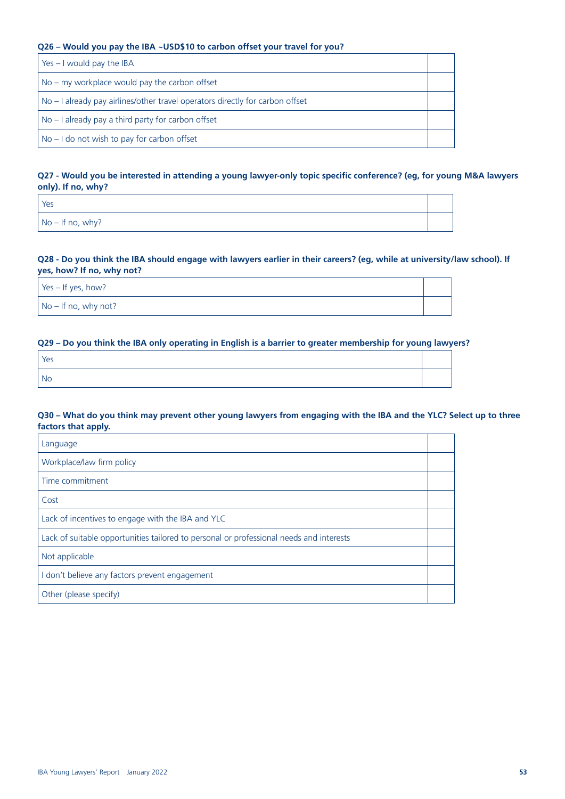#### **Q26 – Would you pay the IBA ~USD\$10 to carbon offset your travel for you?**

| Yes $-1$ would pay the IBA                                                    |  |
|-------------------------------------------------------------------------------|--|
| $\overline{a}$ No – my workplace would pay the carbon offset                  |  |
| No - I already pay airlines/other travel operators directly for carbon offset |  |
| No – I already pay a third party for carbon offset                            |  |
| No - I do not wish to pay for carbon offset                                   |  |

#### **Q27 - Would you be interested in attending a young lawyer-only topic specific conference? (eg, for young M&A lawyers only). If no, why?**

| Yes                      |  |
|--------------------------|--|
| $\vert$ No – If no, why? |  |

#### **Q28 - Do you think the IBA should engage with lawyers earlier in their careers? (eg, while at university/law school). If yes, how? If no, why not?**

| Yes - If yes, how?     |  |
|------------------------|--|
| $No - If no, why not?$ |  |

#### **Q29 – Do you think the IBA only operating in English is a barrier to greater membership for young lawyers?**

| Yes       |  |
|-----------|--|
| <b>No</b> |  |

#### **Q30 – What do you think may prevent other young lawyers from engaging with the IBA and the YLC? Select up to three factors that apply.**

| Language                                                                                |  |
|-----------------------------------------------------------------------------------------|--|
| Workplace/law firm policy                                                               |  |
| Time commitment                                                                         |  |
| Cost                                                                                    |  |
| Lack of incentives to engage with the IBA and YLC                                       |  |
| Lack of suitable opportunities tailored to personal or professional needs and interests |  |
| Not applicable                                                                          |  |
| I don't believe any factors prevent engagement                                          |  |
| Other (please specify)                                                                  |  |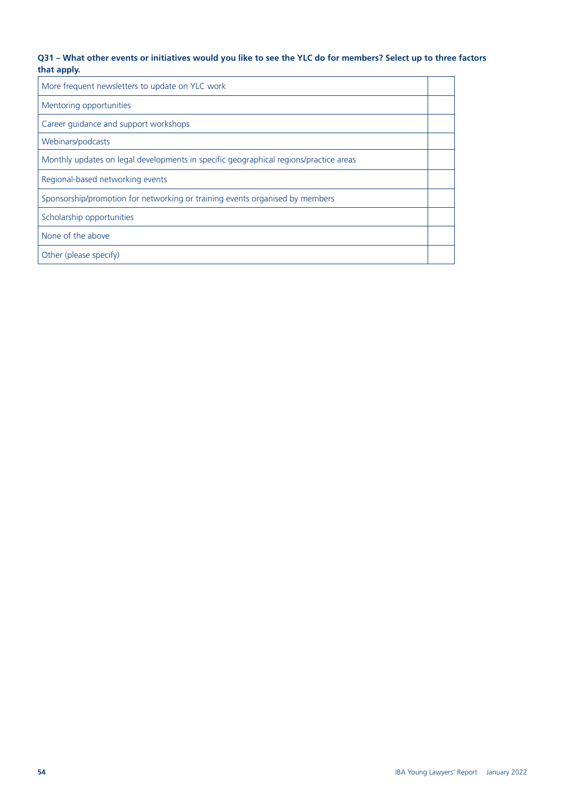#### **Q31 – What other events or initiatives would you like to see the YLC do for members? Select up to three factors that apply.**

| More frequent newsletters to update on YLC work                                       |  |
|---------------------------------------------------------------------------------------|--|
| Mentoring opportunities                                                               |  |
| Career guidance and support workshops                                                 |  |
| Webinars/podcasts                                                                     |  |
| Monthly updates on legal developments in specific geographical regions/practice areas |  |
| Regional-based networking events                                                      |  |
| Sponsorship/promotion for networking or training events organised by members          |  |
| Scholarship opportunities                                                             |  |
| None of the above                                                                     |  |
| Other (please specify)                                                                |  |